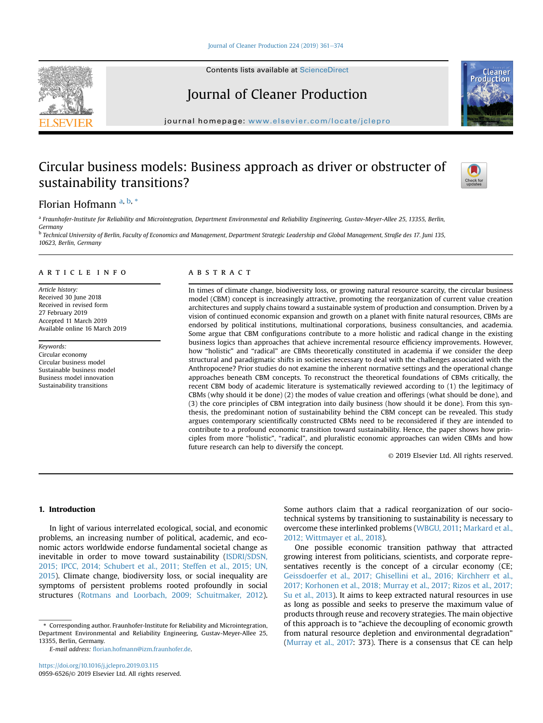#### [Journal of Cleaner Production 224 \(2019\) 361](https://doi.org/10.1016/j.jclepro.2019.03.115)-[374](https://doi.org/10.1016/j.jclepro.2019.03.115)

Contents lists available at ScienceDirect

# Journal of Cleaner Production

journal homepage: [www.elsevier.com/locate/jclepro](http://www.elsevier.com/locate/jclepro)

# Circular business models: Business approach as driver or obstructer of sustainability transitions?



a Fraunhofer-Institute for Reliability and Microintegration, Department Environmental and Reliability Engineering, Gustav-Meyer-Allee 25, 13355, Berlin, **Germany** 

b Technical University of Berlin, Faculty of Economics and Management, Department Strategic Leadership and Global Management, Straße des 17. Juni 135, 10623, Berlin, Germany

## article info

Article history: Received 30 June 2018 Received in revised form 27 February 2019 Accepted 11 March 2019 Available online 16 March 2019

Keywords: Circular economy Circular business model Sustainable business model Business model innovation Sustainability transitions

## ABSTRACT

In times of climate change, biodiversity loss, or growing natural resource scarcity, the circular business model (CBM) concept is increasingly attractive, promoting the reorganization of current value creation architectures and supply chains toward a sustainable system of production and consumption. Driven by a vision of continued economic expansion and growth on a planet with finite natural resources, CBMs are endorsed by political institutions, multinational corporations, business consultancies, and academia. Some argue that CBM configurations contribute to a more holistic and radical change in the existing business logics than approaches that achieve incremental resource efficiency improvements. However, how "holistic" and "radical" are CBMs theoretically constituted in academia if we consider the deep structural and paradigmatic shifts in societies necessary to deal with the challenges associated with the Anthropocene? Prior studies do not examine the inherent normative settings and the operational change approaches beneath CBM concepts. To reconstruct the theoretical foundations of CBMs critically, the recent CBM body of academic literature is systematically reviewed according to (1) the legitimacy of CBMs (why should it be done) (2) the modes of value creation and offerings (what should be done), and (3) the core principles of CBM integration into daily business (how should it be done). From this synthesis, the predominant notion of sustainability behind the CBM concept can be revealed. This study argues contemporary scientifically constructed CBMs need to be reconsidered if they are intended to contribute to a profound economic transition toward sustainability. Hence, the paper shows how principles from more "holistic", "radical", and pluralistic economic approaches can widen CBMs and how future research can help to diversify the concept.

© 2019 Elsevier Ltd. All rights reserved.

## 1. Introduction

In light of various interrelated ecological, social, and economic problems, an increasing number of political, academic, and economic actors worldwide endorse fundamental societal change as inevitable in order to move toward sustainability [\(ISDRI/SDSN,](#page-12-0) [2015; IPCC, 2014; Schubert et al., 2011; Steffen et al., 2015; UN,](#page-12-0) [2015\)](#page-12-0). Climate change, biodiversity loss, or social inequality are symptoms of persistent problems rooted profoundly in social structures ([Rotmans and Loorbach, 2009; Schuitmaker, 2012\)](#page-13-0).

\* Corresponding author. Fraunhofer-Institute for Reliability and Microintegration, Department Environmental and Reliability Engineering, Gustav-Meyer-Allee 25, 13355, Berlin, Germany.

E-mail address: florian hofmann@izm.fraunhofer.de.

Some authors claim that a radical reorganization of our sociotechnical systems by transitioning to sustainability is necessary to overcome these interlinked problems [\(WBGU, 2011;](#page-13-0) [Markard et al.,](#page-12-0) [2012; Wittmayer et al., 2018](#page-12-0)).

One possible economic transition pathway that attracted growing interest from politicians, scientists, and corporate representatives recently is the concept of a circular economy (CE; [Geissdoerfer et al., 2017; Ghisellini et al., 2016; Kirchherr et al.,](#page-11-0) [2017; Korhonen et al., 2018; Murray et al., 2017; Rizos et al., 2017;](#page-11-0) [Su et al., 2013](#page-11-0)). It aims to keep extracted natural resources in use as long as possible and seeks to preserve the maximum value of products through reuse and recovery strategies. The main objective of this approach is to "achieve the decoupling of economic growth from natural resource depletion and environmental degradation" ([Murray et al., 2017:](#page-12-0) 373). There is a consensus that CE can help



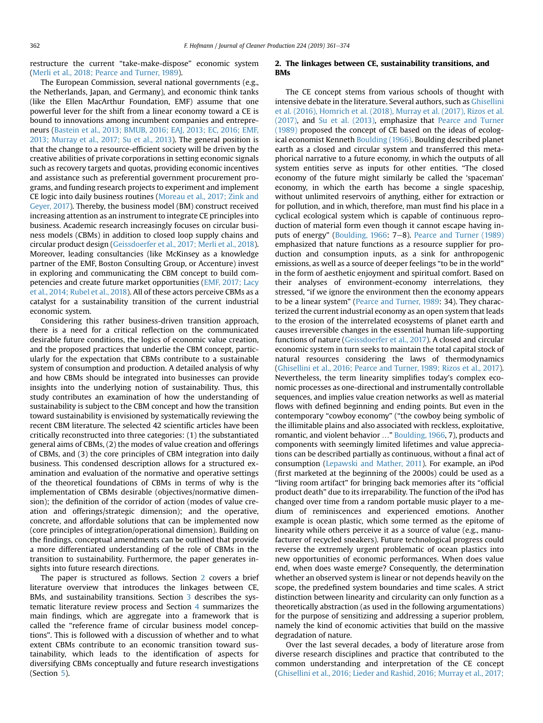restructure the current "take-make-dispose" economic system ([Merli et al., 2018; Pearce and Turner, 1989\)](#page-12-0).

The European Commission, several national governments (e.g., the Netherlands, Japan, and Germany), and economic think tanks (like the Ellen MacArthur Foundation, EMF) assume that one powerful lever for the shift from a linear economy toward a CE is bound to innovations among incumbent companies and entrepreneurs ([Bastein et al., 2013; BMUB, 2016; EAJ, 2013; EC, 2016; EMF,](#page-11-0) [2013; Murray et al., 2017; Su et al., 2013\)](#page-11-0). The general position is that the change to a resource-efficient society will be driven by the creative abilities of private corporations in setting economic signals such as recovery targets and quotas, providing economic incentives and assistance such as preferential government procurement programs, and funding research projects to experiment and implement CE logic into daily business routines ([Moreau et al., 2017; Zink and](#page-12-0) [Geyer, 2017](#page-12-0)). Thereby, the business model (BM) construct received increasing attention as an instrument to integrate CE principles into business. Academic research increasingly focuses on circular business models (CBMs) in addition to closed loop supply chains and circular product design [\(Geissdoerfer et al., 2017; Merli et al., 2018\)](#page-11-0). Moreover, leading consultancies (like McKinsey as a knowledge partner of the EMF, Boston Consulting Group, or Accenture) invest in exploring and communicating the CBM concept to build competencies and create future market opportunities ([EMF, 2017; Lacy](#page-11-0) [et al., 2014; Rubel et al., 2018](#page-11-0)). All of these actors perceive CBMs as a catalyst for a sustainability transition of the current industrial economic system.

Considering this rather business-driven transition approach, there is a need for a critical reflection on the communicated desirable future conditions, the logics of economic value creation, and the proposed practices that underlie the CBM concept, particularly for the expectation that CBMs contribute to a sustainable system of consumption and production. A detailed analysis of why and how CBMs should be integrated into businesses can provide insights into the underlying notion of sustainability. Thus, this study contributes an examination of how the understanding of sustainability is subject to the CBM concept and how the transition toward sustainability is envisioned by systematically reviewing the recent CBM literature. The selected 42 scientific articles have been critically reconstructed into three categories: (1) the substantiated general aims of CBMs, (2) the modes of value creation and offerings of CBMs, and (3) the core principles of CBM integration into daily business. This condensed description allows for a structured examination and evaluation of the normative and operative settings of the theoretical foundations of CBMs in terms of why is the implementation of CBMs desirable (objectives/normative dimension); the definition of the corridor of action (modes of value creation and offerings/strategic dimension); and the operative, concrete, and affordable solutions that can be implemented now (core principles of integration/operational dimension). Building on the findings, conceptual amendments can be outlined that provide a more differentiated understanding of the role of CBMs in the transition to sustainability. Furthermore, the paper generates insights into future research directions.

The paper is structured as follows. Section 2 covers a brief literature overview that introduces the linkages between CE, BMs, and sustainability transitions. Section [3](#page-2-0) describes the systematic literature review process and Section [4](#page-4-0) summarizes the main findings, which are aggregate into a framework that is called the "reference frame of circular business model conceptions". This is followed with a discussion of whether and to what extent CBMs contribute to an economic transition toward sustainability, which leads to the identification of aspects for diversifying CBMs conceptually and future research investigations (Section [5\)](#page-9-0).

## 2. The linkages between CE, sustainability transitions, and **BMs**

The CE concept stems from various schools of thought with intensive debate in the literature. Several authors, such as [Ghisellini](#page-11-0) [et al. \(2016\), Homrich et al. \(2018\), Murray et al. \(2017\), Rizos et al.](#page-11-0) [\(2017\),](#page-11-0) and [Su et al. \(2013\)](#page-13-0), emphasize that [Pearce and Turner](#page-12-0) [\(1989\)](#page-12-0) proposed the concept of CE based on the ideas of ecological economist Kenneth [Boulding \(1966\)](#page-11-0). Boulding described planet earth as a closed and circular system and transferred this metaphorical narrative to a future economy, in which the outputs of all system entities serve as inputs for other entities. "The closed economy of the future might similarly be called the 'spaceman' economy, in which the earth has become a single spaceship, without unlimited reservoirs of anything, either for extraction or for pollution, and in which, therefore, man must find his place in a cyclical ecological system which is capable of continuous reproduction of material form even though it cannot escape having in-puts of energy" ([Boulding, 1966:](#page-11-0) 7–8). [Pearce and Turner \(1989\)](#page-12-0) emphasized that nature functions as a resource supplier for production and consumption inputs, as a sink for anthropogenic emissions, as well as a source of deeper feelings "to be in the world" in the form of aesthetic enjoyment and spiritual comfort. Based on their analyses of environment-economy interrelations, they stressed, "if we ignore the environment then the economy appears to be a linear system" [\(Pearce and Turner, 1989:](#page-12-0) 34). They characterized the current industrial economy as an open system that leads to the erosion of the interrelated ecosystems of planet earth and causes irreversible changes in the essential human life-supporting functions of nature [\(Geissdoerfer et al., 2017\)](#page-11-0). A closed and circular economic system in turn seeks to maintain the total capital stock of natural resources considering the laws of thermodynamics ([Ghisellini et al., 2016; Pearce and Turner, 1989; Rizos et al., 2017\)](#page-11-0). Nevertheless, the term linearity simplifies today's complex economic processes as one-directional and instrumentally controllable sequences, and implies value creation networks as well as material flows with defined beginning and ending points. But even in the contemporary "cowboy economy" ("the cowboy being symbolic of the illimitable plains and also associated with reckless, exploitative, romantic, and violent behavior …" [Boulding, 1966](#page-11-0), 7), products and components with seemingly limited lifetimes and value appreciations can be described partially as continuous, without a final act of consumption ([Lepawski and Mather, 2011](#page-12-0)). For example, an iPod (first marketed at the beginning of the 2000s) could be used as a "living room artifact" for bringing back memories after its "official product death" due to its irreparability. The function of the iPod has changed over time from a random portable music player to a medium of reminiscences and experienced emotions. Another example is ocean plastic, which some termed as the epitome of linearity while others perceive it as a source of value (e.g., manufacturer of recycled sneakers). Future technological progress could reverse the extremely urgent problematic of ocean plastics into new opportunities of economic performances. When does value end, when does waste emerge? Consequently, the determination whether an observed system is linear or not depends heavily on the scope, the predefined system boundaries and time scales. A strict distinction between linearity and circularity can only function as a theoretically abstraction (as used in the following argumentations) for the purpose of sensitizing and addressing a superior problem, namely the kind of economic activities that build on the massive degradation of nature.

Over the last several decades, a body of literature arose from diverse research disciplines and practice that contributed to the common understanding and interpretation of the CE concept ([Ghisellini et al., 2016; Lieder and Rashid, 2016; Murray et al., 2017;](#page-11-0)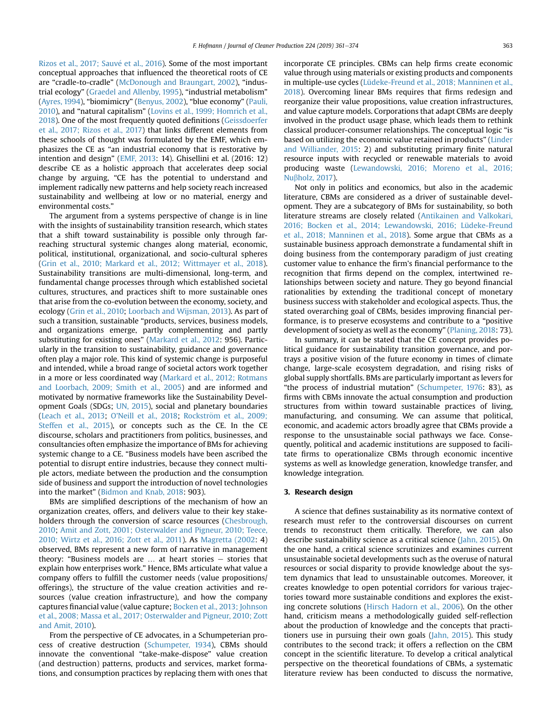<span id="page-2-0"></span>[Rizos et al., 2017; Sauv](#page-11-0)é [et al., 2016](#page-11-0)). Some of the most important conceptual approaches that influenced the theoretical roots of CE are "cradle-to-cradle" ([McDonough and Braungart, 2002](#page-12-0)), "industrial ecology" ([Graedel and Allenby, 1995](#page-12-0)), "industrial metabolism" ([Ayres, 1994](#page-11-0)), "biomimicry" ([Benyus, 2002](#page-11-0)), "blue economy" [\(Pauli,](#page-12-0) [2010\)](#page-12-0), and "natural capitalism" [\(Lovins et al., 1999; Homrich et al.,](#page-12-0) [2018\)](#page-12-0). One of the most frequently quoted definitions [\(Geissdoerfer](#page-11-0) [et al., 2017; Rizos et al., 2017\)](#page-11-0) that links different elements from these schools of thought was formulated by the EMF, which emphasizes the CE as "an industrial economy that is restorative by intention and design" ([EMF, 2013:](#page-11-0) 14). Ghisellini et al. (2016: 12) describe CE as a holistic approach that accelerates deep social change by arguing, "CE has the potential to understand and implement radically new patterns and help society reach increased sustainability and wellbeing at low or no material, energy and environmental costs."

The argument from a systems perspective of change is in line with the insights of sustainability transition research, which states that a shift toward sustainability is possible only through farreaching structural systemic changes along material, economic, political, institutional, organizational, and socio-cultural spheres ([Grin et al., 2010; Markard et al., 2012; Wittmayer et al., 2018\)](#page-12-0). Sustainability transitions are multi-dimensional, long-term, and fundamental change processes through which established societal cultures, structures, and practices shift to more sustainable ones that arise from the co-evolution between the economy, society, and ecology ([Grin et al., 2010;](#page-12-0) [Loorbach and Wijsman, 2013](#page-12-0)). As part of such a transition, sustainable "products, services, business models, and organizations emerge, partly complementing and partly substituting for existing ones" ([Markard et al., 2012:](#page-12-0) 956). Particularly in the transition to sustainability, guidance and governance often play a major role. This kind of systemic change is purposeful and intended, while a broad range of societal actors work together in a more or less coordinated way ([Markard et al., 2012; Rotmans](#page-12-0) [and Loorbach, 2009; Smith et al., 2005](#page-12-0)) and are informed and motivated by normative frameworks like the Sustainability Development Goals (SDGs; [UN, 2015\)](#page-13-0), social and planetary boundaries ([Leach et al., 2013;](#page-12-0) [O'Neill et al., 2018;](#page-12-0) Rockström et al., 2009; [Steffen et al., 2015\)](#page-12-0), or concepts such as the CE. In the CE discourse, scholars and practitioners from politics, businesses, and consultancies often emphasize the importance of BMs for achieving systemic change to a CE. "Business models have been ascribed the potential to disrupt entire industries, because they connect multiple actors, mediate between the production and the consumption side of business and support the introduction of novel technologies into the market" ([Bidmon and Knab, 2018](#page-11-0): 903).

BMs are simplified descriptions of the mechanism of how an organization creates, offers, and delivers value to their key stakeholders through the conversion of scarce resources ([Chesbrough,](#page-11-0) [2010;](#page-11-0) [Amit and Zott, 2001; Osterwalder and Pigneur, 2010; Teece,](#page-11-0) [2010; Wirtz et al., 2016; Zott et al., 2011\)](#page-11-0). As [Magretta \(2002:](#page-12-0) 4) observed, BMs represent a new form of narrative in management theory: "Business models are  $\ldots$  at heart stories  $-$  stories that explain how enterprises work." Hence, BMs articulate what value a company offers to fulfill the customer needs (value propositions/ offerings), the structure of the value creation activities and resources (value creation infrastructure), and how the company captures financial value (value capture; [Bocken et al., 2013; Johnson](#page-11-0) [et al., 2008; Massa et al., 2017; Osterwalder and Pigneur, 2010; Zott](#page-11-0) [and Amit, 2010](#page-11-0)).

From the perspective of CE advocates, in a Schumpeterian process of creative destruction ([Schumpeter, 1934\)](#page-13-0), CBMs should innovate the conventional "take-make-dispose" value creation (and destruction) patterns, products and services, market formations, and consumption practices by replacing them with ones that incorporate CE principles. CBMs can help firms create economic value through using materials or existing products and components in multiple-use cycles ([Lüdeke-Freund et al., 2018; Manninen et al.,](#page-12-0) [2018\)](#page-12-0). Overcoming linear BMs requires that firms redesign and reorganize their value propositions, value creation infrastructures, and value capture models. Corporations that adapt CBMs are deeply involved in the product usage phase, which leads them to rethink classical producer-consumer relationships. The conceptual logic "is based on utilizing the economic value retained in products" ([Linder](#page-12-0) [and Williander, 2015:](#page-12-0) 2) and substituting primary finite natural resource inputs with recycled or renewable materials to avoid producing waste ([Lewandowski, 2016; Moreno et al., 2016;](#page-12-0) Nub[holz, 2017](#page-12-0)).

Not only in politics and economics, but also in the academic literature, CBMs are considered as a driver of sustainable development. They are a subcategory of BMs for sustainability, so both literature streams are closely related ([Antikainen and Valkokari,](#page-11-0) [2016; Bocken et al., 2014; Lewandowski, 2016; Lüdeke-Freund](#page-11-0) [et al., 2018; Manninen et al., 2018\)](#page-11-0). Some argue that CBMs as a sustainable business approach demonstrate a fundamental shift in doing business from the contemporary paradigm of just creating customer value to enhance the firm's financial performance to the recognition that firms depend on the complex, intertwined relationships between society and nature. They go beyond financial rationalities by extending the traditional concept of monetary business success with stakeholder and ecological aspects. Thus, the stated overarching goal of CBMs, besides improving financial performance, is to preserve ecosystems and contribute to a "positive development of society as well as the economy" ([Planing, 2018:](#page-12-0) 73).

In summary, it can be stated that the CE concept provides political guidance for sustainability transition governance, and portrays a positive vision of the future economy in times of climate change, large-scale ecosystem degradation, and rising risks of global supply shortfalls. BMs are particularly important as levers for "the process of industrial mutation" ([Schumpeter, 1976](#page-13-0): 83), as firms with CBMs innovate the actual consumption and production structures from within toward sustainable practices of living, manufacturing, and consuming. We can assume that political, economic, and academic actors broadly agree that CBMs provide a response to the unsustainable social pathways we face. Consequently, political and academic institutions are supposed to facilitate firms to operationalize CBMs through economic incentive systems as well as knowledge generation, knowledge transfer, and knowledge integration.

## 3. Research design

A science that defines sustainability as its normative context of research must refer to the controversial discourses on current trends to reconstruct them critically. Therefore, we can also describe sustainability science as a critical science [\(Jahn, 2015](#page-12-0)). On the one hand, a critical science scrutinizes and examines current unsustainable societal developments such as the overuse of natural resources or social disparity to provide knowledge about the system dynamics that lead to unsustainable outcomes. Moreover, it creates knowledge to open potential corridors for various trajectories toward more sustainable conditions and explores the existing concrete solutions [\(Hirsch Hadorn et al., 2006\)](#page-12-0). On the other hand, criticism means a methodologically guided self-reflection about the production of knowledge and the concepts that practitioners use in pursuing their own goals ([Jahn, 2015\)](#page-12-0). This study contributes to the second track; it offers a reflection on the CBM concept in the scientific literature. To develop a critical analytical perspective on the theoretical foundations of CBMs, a systematic literature review has been conducted to discuss the normative,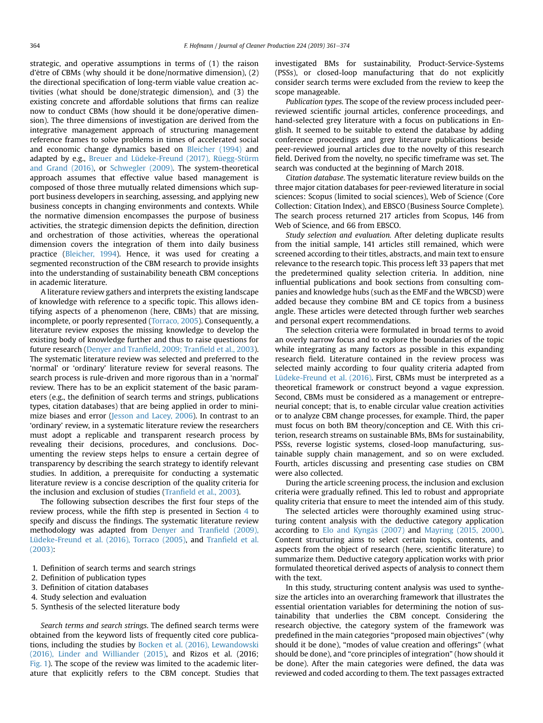strategic, and operative assumptions in terms of (1) the raison d'etre of CBMs (why should it be done/normative dimension), (2) ^ the directional specification of long-term viable value creation activities (what should be done/strategic dimension), and (3) the existing concrete and affordable solutions that firms can realize now to conduct CBMs (how should it be done/operative dimension). The three dimensions of investigation are derived from the integrative management approach of structuring management reference frames to solve problems in times of accelerated social and economic change dynamics based on [Bleicher \(1994\)](#page-11-0) and adapted by e.g., [Breuer and Lüdeke-Freund \(2017\), Rüegg-Stürm](#page-11-0) [and Grand \(2016\),](#page-11-0) or [Schwegler \(2009\)](#page-13-0). The system-theoretical approach assumes that effective value based management is composed of those three mutually related dimensions which support business developers in searching, assessing, and applying new business concepts in changing environments and contexts. While the normative dimension encompasses the purpose of business activities, the strategic dimension depicts the definition, direction and orchestration of those activities, whereas the operational dimension covers the integration of them into daily business practice ([Bleicher, 1994\)](#page-11-0). Hence, it was used for creating a segmented reconstruction of the CBM research to provide insights into the understanding of sustainability beneath CBM conceptions in academic literature.

A literature review gathers and interprets the existing landscape of knowledge with reference to a specific topic. This allows identifying aspects of a phenomenon (here, CBMs) that are missing, incomplete, or poorly represented [\(Torraco, 2005\)](#page-13-0). Consequently, a literature review exposes the missing knowledge to develop the existing body of knowledge further and thus to raise questions for future research [\(Denyer and Tran](#page-11-0)field, 2009; Tranfield et al., 2003). The systematic literature review was selected and preferred to the 'normal' or 'ordinary' literature review for several reasons. The search process is rule-driven and more rigorous than in a 'normal' review. There has to be an explicit statement of the basic parameters (e.g., the definition of search terms and strings, publications types, citation databases) that are being applied in order to minimize biases and error ([Jesson and Lacey, 2006\)](#page-12-0). In contrast to an 'ordinary' review, in a systematic literature review the researchers must adopt a replicable and transparent research process by revealing their decisions, procedures, and conclusions. Documenting the review steps helps to ensure a certain degree of transparency by describing the search strategy to identify relevant studies. In addition, a prerequisite for conducting a systematic literature review is a concise description of the quality criteria for the inclusion and exclusion of studies (Tranfi[eld et al., 2003](#page-13-0)).

The following subsection describes the first four steps of the review process, while the fifth step is presented in Section [4](#page-4-0) to specify and discuss the findings. The systematic literature review methodology was adapted from [Denyer and Tran](#page-11-0)field (2009), [Lüdeke-Freund et al. \(2016\), Torraco \(2005\),](#page-11-0) and Tranfi[eld et al.](#page-13-0) [\(2003\)](#page-13-0):

- 1. Definition of search terms and search strings
- 2. Definition of publication types
- 3. Definition of citation databases
- 4. Study selection and evaluation
- 5. Synthesis of the selected literature body

Search terms and search strings. The defined search terms were obtained from the keyword lists of frequently cited core publications, including the studies by [Bocken et al. \(2016\), Lewandowski](#page-11-0) [\(2016\), Linder and Williander \(2015\)](#page-11-0), and Rizos et al. (2016; [Fig. 1\)](#page-4-0). The scope of the review was limited to the academic literature that explicitly refers to the CBM concept. Studies that investigated BMs for sustainability, Product-Service-Systems (PSSs), or closed-loop manufacturing that do not explicitly consider search terms were excluded from the review to keep the scope manageable.

Publication types. The scope of the review process included peerreviewed scientific journal articles, conference proceedings, and hand-selected grey literature with a focus on publications in English. It seemed to be suitable to extend the database by adding conference proceedings and grey literature publications beside peer-reviewed journal articles due to the novelty of this research field. Derived from the novelty, no specific timeframe was set. The search was conducted at the beginning of March 2018.

Citation database. The systematic literature review builds on the three major citation databases for peer-reviewed literature in social sciences: Scopus (limited to social sciences), Web of Science (Core Collection: Citation Index), and EBSCO (Business Source Complete). The search process returned 217 articles from Scopus, 146 from Web of Science, and 66 from EBSCO.

Study selection and evaluation. After deleting duplicate results from the initial sample, 141 articles still remained, which were screened according to their titles, abstracts, and main text to ensure relevance to the research topic. This process left 33 papers that met the predetermined quality selection criteria. In addition, nine influential publications and book sections from consulting companies and knowledge hubs (such as the EMF and the WBCSD) were added because they combine BM and CE topics from a business angle. These articles were detected through further web searches and personal expert recommendations.

The selection criteria were formulated in broad terms to avoid an overly narrow focus and to explore the boundaries of the topic while integrating as many factors as possible in this expanding research field. Literature contained in the review process was selected mainly according to four quality criteria adapted from [Lüdeke-Freund et al. \(2016\).](#page-12-0) First, CBMs must be interpreted as a theoretical framework or construct beyond a vague expression. Second, CBMs must be considered as a management or entrepreneurial concept; that is, to enable circular value creation activities or to analyze CBM change processes, for example. Third, the paper must focus on both BM theory/conception and CE. With this criterion, research streams on sustainable BMs, BMs for sustainability, PSSs, reverse logistic systems, closed-loop manufacturing, sustainable supply chain management, and so on were excluded. Fourth, articles discussing and presenting case studies on CBM were also collected.

During the article screening process, the inclusion and exclusion criteria were gradually refined. This led to robust and appropriate quality criteria that ensure to meet the intended aim of this study.

The selected articles were thoroughly examined using structuring content analysis with the deductive category application according to Elo and Kyngäs (2007) and [Mayring \(2015, 2000\).](#page-12-0) Content structuring aims to select certain topics, contents, and aspects from the object of research (here, scientific literature) to summarize them. Deductive category application works with prior formulated theoretical derived aspects of analysis to connect them with the text.

In this study, structuring content analysis was used to synthesize the articles into an overarching framework that illustrates the essential orientation variables for determining the notion of sustainability that underlies the CBM concept. Considering the research objective, the category system of the framework was predefined in the main categories "proposed main objectives" (why should it be done), "modes of value creation and offerings" (what should be done), and "core principles of integration" (how should it be done). After the main categories were defined, the data was reviewed and coded according to them. The text passages extracted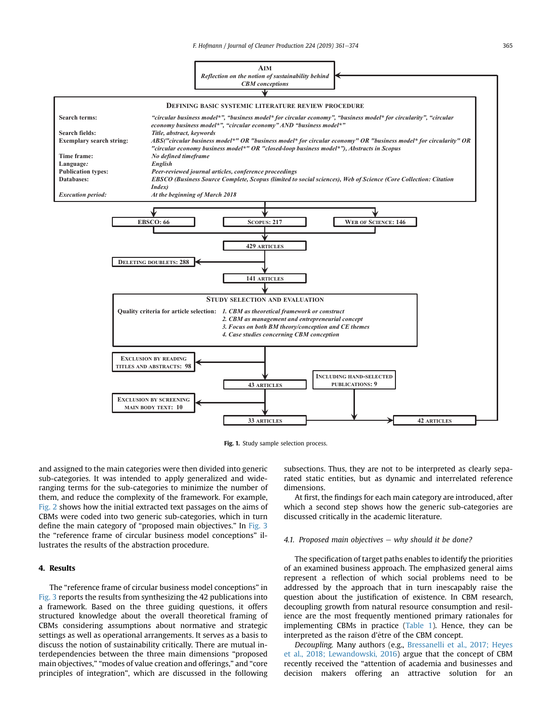<span id="page-4-0"></span>



and assigned to the main categories were then divided into generic sub-categories. It was intended to apply generalized and wideranging terms for the sub-categories to minimize the number of them, and reduce the complexity of the framework. For example, [Fig. 2](#page-5-0) shows how the initial extracted text passages on the aims of CBMs were coded into two generic sub-categories, which in turn define the main category of "proposed main objectives." In [Fig. 3](#page-6-0) the "reference frame of circular business model conceptions" illustrates the results of the abstraction procedure.

## 4. Results

The "reference frame of circular business model conceptions" in [Fig. 3](#page-6-0) reports the results from synthesizing the 42 publications into a framework. Based on the three guiding questions, it offers structured knowledge about the overall theoretical framing of CBMs considering assumptions about normative and strategic settings as well as operational arrangements. It serves as a basis to discuss the notion of sustainability critically. There are mutual interdependencies between the three main dimensions "proposed main objectives," "modes of value creation and offerings," and "core principles of integration", which are discussed in the following subsections. Thus, they are not to be interpreted as clearly separated static entities, but as dynamic and interrelated reference dimensions.

At first, the findings for each main category are introduced, after which a second step shows how the generic sub-categories are discussed critically in the academic literature.

### 4.1. Proposed main objectives  $-$  why should it be done?

The specification of target paths enables to identify the priorities of an examined business approach. The emphasized general aims represent a reflection of which social problems need to be addressed by the approach that in turn inescapably raise the question about the justification of existence. In CBM research, decoupling growth from natural resource consumption and resilience are the most frequently mentioned primary rationales for implementing CBMs in practice [\(Table 1\)](#page-6-0). Hence, they can be interpreted as the raison d'être of the CBM concept.

Decoupling. Many authors (e.g., [Bressanelli et al., 2017; Heyes](#page-11-0) [et al., 2018; Lewandowski, 2016\)](#page-11-0) argue that the concept of CBM recently received the "attention of academia and businesses and decision makers offering an attractive solution for an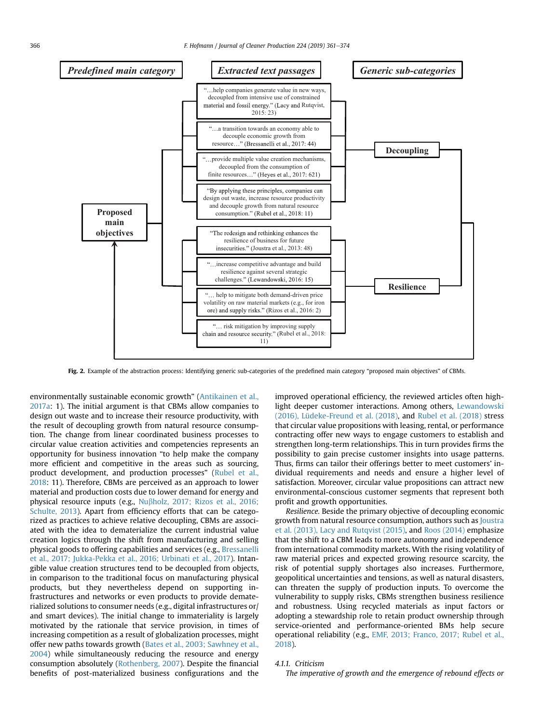<span id="page-5-0"></span>

Fig. 2. Example of the abstraction process: Identifying generic sub-categories of the predefined main category "proposed main objectives" of CBMs.

environmentally sustainable economic growth" [\(Antikainen et al.,](#page-11-0) [2017a:](#page-11-0) 1). The initial argument is that CBMs allow companies to design out waste and to increase their resource productivity, with the result of decoupling growth from natural resource consumption. The change from linear coordinated business processes to circular value creation activities and competencies represents an opportunity for business innovation "to help make the company more efficient and competitive in the areas such as sourcing, product development, and production processes" ([Rubel et al.,](#page-13-0) [2018:](#page-13-0) 11). Therefore, CBMs are perceived as an approach to lower material and production costs due to lower demand for energy and physical resource inputs (e.g., Nuß[holz, 2017; Rizos et al., 2016;](#page-12-0) [Schulte, 2013](#page-12-0)). Apart from efficiency efforts that can be categorized as practices to achieve relative decoupling, CBMs are associated with the idea to dematerialize the current industrial value creation logics through the shift from manufacturing and selling physical goods to offering capabilities and services (e.g., [Bressanelli](#page-11-0) [et al., 2017; Jukka-Pekka et al., 2016; Urbinati et al., 2017\)](#page-11-0). Intangible value creation structures tend to be decoupled from objects, in comparison to the traditional focus on manufacturing physical products, but they nevertheless depend on supporting infrastructures and networks or even products to provide dematerialized solutions to consumer needs (e.g., digital infrastructures or/ and smart devices). The initial change to immateriality is largely motivated by the rationale that service provision, in times of increasing competition as a result of globalization processes, might offer new paths towards growth [\(Bates et al., 2003; Sawhney et al.,](#page-11-0) [2004](#page-11-0)) while simultaneously reducing the resource and energy consumption absolutely ([Rothenberg, 2007](#page-13-0)). Despite the financial benefits of post-materialized business configurations and the improved operational efficiency, the reviewed articles often highlight deeper customer interactions. Among others, [Lewandowski](#page-12-0) [\(2016\), Lüdeke-Freund et al. \(2018\)](#page-12-0), and [Rubel et al. \(2018\)](#page-13-0) stress that circular value propositions with leasing, rental, or performance contracting offer new ways to engage customers to establish and strengthen long-term relationships. This in turn provides firms the possibility to gain precise customer insights into usage patterns. Thus, firms can tailor their offerings better to meet customers' individual requirements and needs and ensure a higher level of satisfaction. Moreover, circular value propositions can attract new environmental-conscious customer segments that represent both profit and growth opportunities.

Resilience. Beside the primary objective of decoupling economic growth from natural resource consumption, authors such as [Joustra](#page-12-0) [et al. \(2013\), Lacy and Rutqvist \(2015\),](#page-12-0) and [Roos \(2014\)](#page-13-0) emphasize that the shift to a CBM leads to more autonomy and independence from international commodity markets. With the rising volatility of raw material prices and expected growing resource scarcity, the risk of potential supply shortages also increases. Furthermore, geopolitical uncertainties and tensions, as well as natural disasters, can threaten the supply of production inputs. To overcome the vulnerability to supply risks, CBMs strengthen business resilience and robustness. Using recycled materials as input factors or adopting a stewardship role to retain product ownership through service-oriented and performance-oriented BMs help secure operational reliability (e.g., [EMF, 2013; Franco, 2017; Rubel et al.,](#page-11-0) [2018\)](#page-11-0).

## 4.1.1. Criticism

The imperative of growth and the emergence of rebound effects or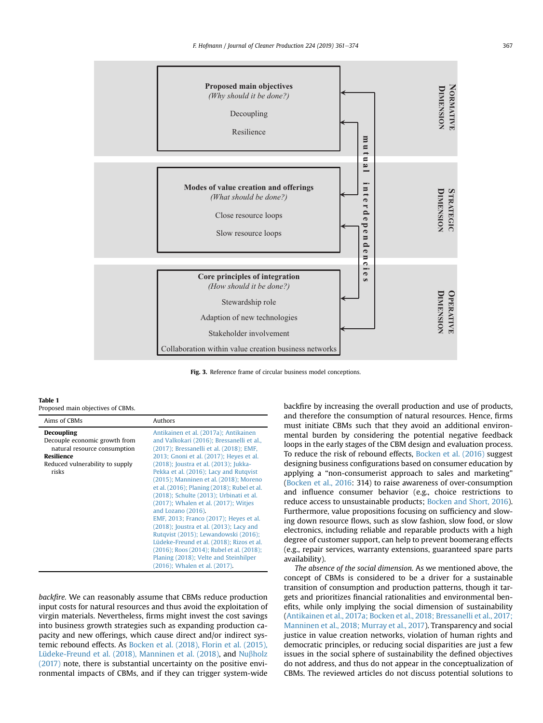<span id="page-6-0"></span>

Fig. 3. Reference frame of circular business model conceptions.

Table 1 Proposed main objectives of CBMs.

| Aims of CBMs                                                                                                                                 | Authors                                                                                                                                                                                                                                                                                                                                                                                                                                                                                                                                                                                                                                                                                                                                                           |
|----------------------------------------------------------------------------------------------------------------------------------------------|-------------------------------------------------------------------------------------------------------------------------------------------------------------------------------------------------------------------------------------------------------------------------------------------------------------------------------------------------------------------------------------------------------------------------------------------------------------------------------------------------------------------------------------------------------------------------------------------------------------------------------------------------------------------------------------------------------------------------------------------------------------------|
| <b>Decoupling</b><br>Decouple economic growth from<br>natural resource consumption<br>Resilience<br>Reduced vulnerability to supply<br>risks | Antikainen et al. (2017a); Antikainen<br>and Valkokari (2016); Bressanelli et al.,<br>(2017); Bressanelli et al. (2018); EMF,<br>2013; Gnoni et al. (2017); Heyes et al.<br>(2018); Joustra et al. (2013); Jukka-<br>Pekka et al. (2016); Lacy and Rutqvist<br>(2015); Manninen et al. (2018); Moreno<br>et al. (2016); Planing (2018); Rubel et al.<br>(2018); Schulte (2013); Urbinati et al.<br>(2017); Whalen et al. (2017); Witjes<br>and Lozano $(2016)$ .<br>EMF, 2013; Franco (2017); Heyes et al.<br>(2018); Joustra et al. (2013); Lacy and<br>Rutqvist (2015); Lewandowski (2016);<br>Lüdeke-Freund et al. (2018); Rizos et al.<br>(2016); Roos (2014); Rubel et al. (2018);<br>Planing (2018); Velte and Steinhilper<br>(2016); Whalen et al. (2017). |

backfire. We can reasonably assume that CBMs reduce production input costs for natural resources and thus avoid the exploitation of virgin materials. Nevertheless, firms might invest the cost savings into business growth strategies such as expanding production capacity and new offerings, which cause direct and/or indirect systemic rebound effects. As [Bocken et al. \(2018\), Florin et al. \(2015\),](#page-11-0) [Lüdeke-Freund et al. \(2018\), Manninen et al. \(2018\)](#page-11-0), and Nuß[holz](#page-12-0) [\(2017\)](#page-12-0) note, there is substantial uncertainty on the positive environmental impacts of CBMs, and if they can trigger system-wide

backfire by increasing the overall production and use of products, and therefore the consumption of natural resources. Hence, firms must initiate CBMs such that they avoid an additional environmental burden by considering the potential negative feedback loops in the early stages of the CBM design and evaluation process. To reduce the risk of rebound effects, [Bocken et al. \(2016\)](#page-11-0) suggest designing business configurations based on consumer education by applying a "non-consumerist approach to sales and marketing" ([Bocken et al., 2016:](#page-11-0) 314) to raise awareness of over-consumption and influence consumer behavior (e.g., choice restrictions to reduce access to unsustainable products; [Bocken and Short, 2016\)](#page-11-0). Furthermore, value propositions focusing on sufficiency and slowing down resource flows, such as slow fashion, slow food, or slow electronics, including reliable and reparable products with a high degree of customer support, can help to prevent boomerang effects (e.g., repair services, warranty extensions, guaranteed spare parts availability).

The absence of the social dimension. As we mentioned above, the concept of CBMs is considered to be a driver for a sustainable transition of consumption and production patterns, though it targets and prioritizes financial rationalities and environmental benefits, while only implying the social dimension of sustainability ([Antikainen et al., 2017a; Bocken et al., 2018; Bressanelli et al., 2017;](#page-11-0) [Manninen et al., 2018; Murray et al., 2017\)](#page-11-0). Transparency and social justice in value creation networks, violation of human rights and democratic principles, or reducing social disparities are just a few issues in the social sphere of sustainability the defined objectives do not address, and thus do not appear in the conceptualization of CBMs. The reviewed articles do not discuss potential solutions to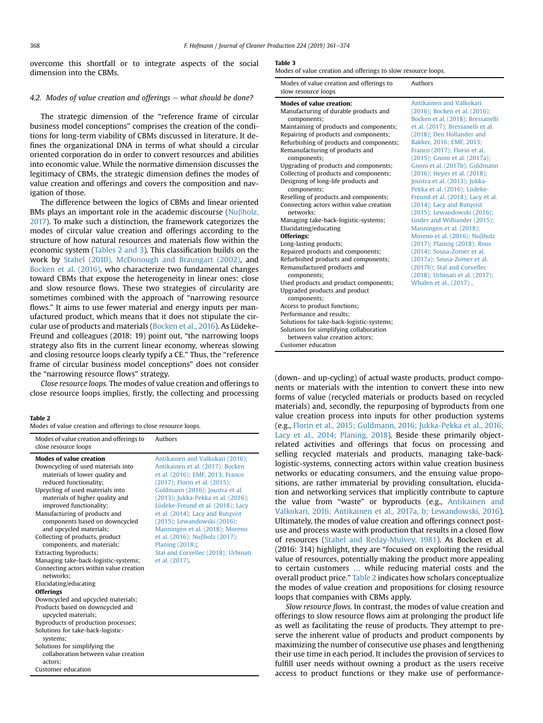<span id="page-7-0"></span>overcome this shortfall or to integrate aspects of the social dimension into the CBMs.

## 4.2. Modes of value creation and offerings  $-$  what should be done?

The strategic dimension of the "reference frame of circular business model conceptions" comprises the creation of the conditions for long-term viability of CBMs discussed in literature. It defines the organizational DNA in terms of what should a circular oriented corporation do in order to convert resources and abilities into economic value. While the normative dimension discusses the legitimacy of CBMs, the strategic dimension defines the modes of value creation and offerings and covers the composition and navigation of those.

The difference between the logics of CBMs and linear oriented BMs plays an important role in the academic discourse (Nuß[holz,](#page-12-0) [2017\)](#page-12-0). To make such a distinction, the framework categorizes the modes of circular value creation and offerings according to the structure of how natural resources and materials flow within the economic system (Tables 2 and 3). This classification builds on the work by [Stahel \(2010\), McDonough and Braungart \(2002\),](#page-13-0) and [Bocken et al. \(2016\),](#page-11-0) who characterize two fundamental changes toward CBMs that expose the heterogeneity in linear ones: close and slow resource flows. These two strategies of circularity are sometimes combined with the approach of "narrowing resource flows." It aims to use fewer material and energy inputs per manufactured product, which means that it does not stipulate the circular use of products and materials ([Bocken et al., 2016\)](#page-11-0). As Lüdeke-Freund and colleagues (2018: 19) point out, "the narrowing loops strategy also fits in the current linear economy, whereas slowing and closing resource loops clearly typify a CE." Thus, the "reference frame of circular business model conceptions" does not consider the "narrowing resource flows" strategy.

Close resource loops. The modes of value creation and offerings to close resource loops implies, firstly, the collecting and processing

#### Table 2

| Modes of value creation and offerings to close resource loops. |  |  |
|----------------------------------------------------------------|--|--|
|----------------------------------------------------------------|--|--|

| Modes of value creation and offerings to<br>close resource loops                                                                                                                                                                                                                                                                                                                                                                                                                                                                                                                                                                                                                                                                                                                                                                                                            | Authors                                                                                                                                                                                                                                                                                                                                                                                                                                                                            |
|-----------------------------------------------------------------------------------------------------------------------------------------------------------------------------------------------------------------------------------------------------------------------------------------------------------------------------------------------------------------------------------------------------------------------------------------------------------------------------------------------------------------------------------------------------------------------------------------------------------------------------------------------------------------------------------------------------------------------------------------------------------------------------------------------------------------------------------------------------------------------------|------------------------------------------------------------------------------------------------------------------------------------------------------------------------------------------------------------------------------------------------------------------------------------------------------------------------------------------------------------------------------------------------------------------------------------------------------------------------------------|
| <b>Modes of value creation</b><br>Downcycling of used materials into<br>materials of lower quality and<br>reduced functionality;<br>Upcycling of used materials into<br>materials of higher quality and<br>improved functionality;<br>Manufacturing of products and<br>components based on downcycled<br>and upcycled materials;<br>Collecting of products, product<br>components, and materials;<br>Extracting byproducts;<br>Managing take-back-logistic-systems;<br>Connecting actors within value creation<br>networks:<br>Elucidating/educating<br><b>Offerings</b><br>Downcycled and upcycled materials;<br>Products based on downcycled and<br>upcycled materials;<br>Byproducts of production processes;<br>Solutions for take-back-logistic-<br>systems;<br>Solutions for simplifying the<br>collaboration between value creation<br>actors;<br>Customer education | Antikainen and Valkokari (2016);<br>Antikainen et al. (2017); Bocken<br>et al. (2016); EMF, 2013; Franco<br>(2017); Florin et al. (2015);<br>Guldmann (2016); Joustra et al.<br>(2013); Jukka-Pekka et al. (2016);<br>Lüdeke-Freund et al. (2018); Lacy<br>et al. (2014); Lacy and Rutqvist<br>(2015); Lewandowski (2016);<br>Manningen et al. (2018); Moreno<br>et al. (2016); Nuβholz (2017);<br><b>Planing (2018):</b><br>Stal and Corvellec (2018); Urbinati<br>et al. (2017). |
|                                                                                                                                                                                                                                                                                                                                                                                                                                                                                                                                                                                                                                                                                                                                                                                                                                                                             |                                                                                                                                                                                                                                                                                                                                                                                                                                                                                    |

#### Table 3

Modes of value creation and offerings to slow resource loops.

| Modes of value creation and offerings to<br>slow resource loops                                                                                                                                                                                                                                                                                                                                                                                                                                                                                                                                                                                                                                                                                                                                                                                                                                                                                                                                                                        | Authors                                                                                                                                                                                                                                                                                                                                                                                                                                                                                                                                                                                                                                                                                                                                                                                  |
|----------------------------------------------------------------------------------------------------------------------------------------------------------------------------------------------------------------------------------------------------------------------------------------------------------------------------------------------------------------------------------------------------------------------------------------------------------------------------------------------------------------------------------------------------------------------------------------------------------------------------------------------------------------------------------------------------------------------------------------------------------------------------------------------------------------------------------------------------------------------------------------------------------------------------------------------------------------------------------------------------------------------------------------|------------------------------------------------------------------------------------------------------------------------------------------------------------------------------------------------------------------------------------------------------------------------------------------------------------------------------------------------------------------------------------------------------------------------------------------------------------------------------------------------------------------------------------------------------------------------------------------------------------------------------------------------------------------------------------------------------------------------------------------------------------------------------------------|
| <b>Modes of value creation:</b><br>Manufacturing of durable products and<br>components;<br>Maintaining of products and components;<br>Repairing of products and components;<br>Refurbishing of products and components;<br>Remanufacturing of products and<br>components;<br>Upgrading of products and components;<br>Collecting of products and components;<br>Designing of long-life products and<br>components;<br>Reselling of products and components;<br>Connecting actors within value creation<br>networks:<br>Managing take-back-logistic-systems;<br>Elucidating/educating<br>Offerings:<br>Long-lasting products;<br>Repaired products and components;<br>Refurbished products and components;<br>Remanufactured products and<br>components;<br>Used products and product components;<br>Upgraded products and product<br>components;<br>Access to product functions;<br>Performance and results:<br>Solutions for take-back-logistic-systems;<br>Solutions for simplifying collaboration<br>between value creation actors: | Antikainen and Valkokari<br>(2016); Bocken et al. (2016);<br>Bocken et al. (2018); Bressanelli<br>et al. (2017); Bressanelli et al.<br>(2018); Den Hollander and<br>Bakker, 2016; EMF, 2013;<br>Franco (2017); Florin et al.<br>(2015); Gnoni et al. (2017a);<br>Gnoni et al. (2017b); Guldmann<br>(2016); Heyes et al. (2018);<br>Joustra et al. (2013); Jukka-<br>Pekka et al. (2016); Lüdeke-<br>Freund et al. (2018); Lacy et al.<br>(2014); Lacy and Rutqvist<br>(2015); Lewandowski (2016);<br>Linder and Williander (2015);<br>Manningen et al. (2018);<br>Moreno et al. (2016); Nußholz<br>(2017); Planing (2018); Roos<br>(2014); Sousa-Zomer et al.<br>(2017a); Sousa-Zomer et al.<br>(2017b); Stal and Corvellec<br>(2018); Urbinati et al. (2017);<br>Whalen et al., (2017). |
| Customer education                                                                                                                                                                                                                                                                                                                                                                                                                                                                                                                                                                                                                                                                                                                                                                                                                                                                                                                                                                                                                     |                                                                                                                                                                                                                                                                                                                                                                                                                                                                                                                                                                                                                                                                                                                                                                                          |

(down- and up-cycling) of actual waste products, product components or materials with the intention to convert these into new forms of value (recycled materials or products based on recycled materials) and, secondly, the repurposing of byproducts from one value creation process into inputs for other production systems (e.g., [Florin et al., 2015; Guldmann, 2016; Jukka-Pekka et al., 2016;](#page-11-0) [Lacy et al., 2014; Planing, 2018\)](#page-11-0). Beside these primarily objectrelated activities and offerings that focus on processing and selling recycled materials and products, managing take-backlogistic-systems, connecting actors within value creation business networks or educating consumers, and the ensuing value propositions, are rather immaterial by providing consultation, elucidation and networking services that implicitly contribute to capture the value from "waste" or byproducts (e.g., [Antikainen and](#page-11-0) [Valkokari, 2016; Antikainen et al., 2017a, b; Lewandowski, 2016\)](#page-11-0). Ultimately, the modes of value creation and offerings connect postuse and process waste with production that results in a closed flow of resources [\(Stahel and Reday-Mulvey, 1981](#page-13-0)). As Bocken et al. (2016: 314) highlight, they are "focused on exploiting the residual value of resources, potentially making the product more appealing to certain customers … while reducing material costs and the overall product price." Table 2 indicates how scholars conceptualize the modes of value creation and propositions for closing resource loops that companies with CBMs apply.

Slow resource flows. In contrast, the modes of value creation and offerings to slow resource flows aim at prolonging the product life as well as facilitating the reuse of products. They attempt to preserve the inherent value of products and product components by maximizing the number of consecutive use phases and lengthening their use time in each period. It includes the provision of services to fulfill user needs without owning a product as the users receive access to product functions or they make use of performance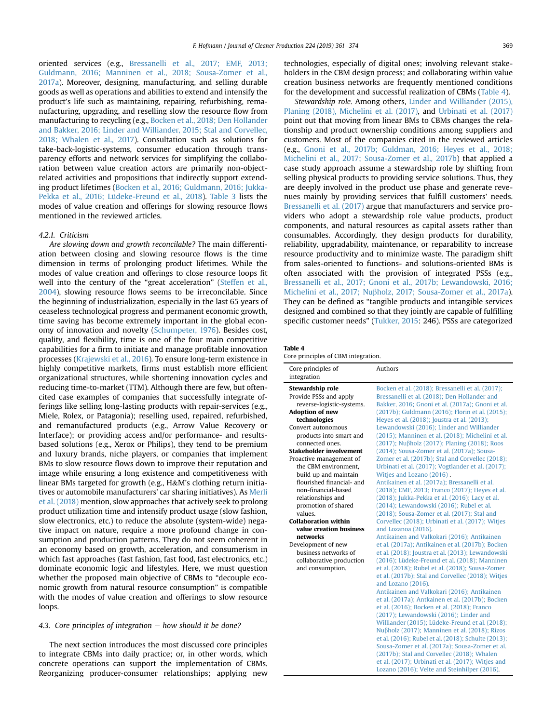oriented services (e.g., [Bressanelli et al., 2017; EMF, 2013;](#page-11-0) [Guldmann, 2016; Manninen et al., 2018; Sousa-Zomer et al.,](#page-11-0) [2017a\)](#page-11-0). Moreover, designing, manufacturing, and selling durable goods as well as operations and abilities to extend and intensify the product's life such as maintaining, repairing, refurbishing, remanufacturing, upgrading, and reselling slow the resource flow from manufacturing to recycling (e.g., [Bocken et al., 2018; Den Hollander](#page-11-0) [and Bakker, 2016; Linder and Williander, 2015; Stal and Corvellec,](#page-11-0) [2018; Whalen et al., 2017](#page-11-0)). Consultation such as solutions for take-back-logistic-systems, consumer education through transparency efforts and network services for simplifying the collaboration between value creation actors are primarily non-objectrelated activities and propositions that indirectly support extending product lifetimes ([Bocken et al., 2016; Guldmann, 2016; Jukka-](#page-11-0)[Pekka et al., 2016; Lüdeke-Freund et al., 2018](#page-11-0)). [Table 3](#page-7-0) lists the modes of value creation and offerings for slowing resource flows mentioned in the reviewed articles.

## 4.2.1. Criticism

Are slowing down and growth reconcilable? The main differentiation between closing and slowing resource flows is the time dimension in terms of prolonging product lifetimes. While the modes of value creation and offerings to close resource loops fit well into the century of the "great acceleration" ([Steffen et al.,](#page-13-0) [2004\)](#page-13-0), slowing resource flows seems to be irreconcilable. Since the beginning of industrialization, especially in the last 65 years of ceaseless technological progress and permanent economic growth, time saving has become extremely important in the global economy of innovation and novelty [\(Schumpeter, 1976\)](#page-13-0). Besides cost, quality, and flexibility, time is one of the four main competitive capabilities for a firm to initiate and manage profitable innovation processes ([Krajewski et al., 2016](#page-12-0)). To ensure long-term existence in highly competitive markets, firms must establish more efficient organizational structures, while shortening innovation cycles and reducing time-to-market (TTM). Although there are few, but oftencited case examples of companies that successfully integrate offerings like selling long-lasting products with repair-services (e.g., Miele, Rolex, or Patagonia); reselling used, repaired, refurbished, and remanufactured products (e.g., Arrow Value Recovery or Interface); or providing access and/or performance- and resultsbased solutions (e.g., Xerox or Philips), they tend to be premium and luxury brands, niche players, or companies that implement BMs to slow resource flows down to improve their reputation and image while ensuring a long existence and competitiveness with linear BMs targeted for growth (e.g., H&M's clothing return initiatives or automobile manufacturers' car sharing initiatives). As [Merli](#page-12-0) [et al. \(2018\)](#page-12-0) mention, slow approaches that actively seek to prolong product utilization time and intensify product usage (slow fashion, slow electronics, etc.) to reduce the absolute (system-wide) negative impact on nature, require a more profound change in consumption and production patterns. They do not seem coherent in an economy based on growth, acceleration, and consumerism in which fast approaches (fast fashion, fast food, fast electronics, etc.) dominate economic logic and lifestyles. Here, we must question whether the proposed main objective of CBMs to "decouple economic growth from natural resource consumption" is compatible with the modes of value creation and offerings to slow resource loops.

## 4.3. Core principles of integration  $-$  how should it be done?

The next section introduces the most discussed core principles to integrate CBMs into daily practice; or, in other words, which concrete operations can support the implementation of CBMs. Reorganizing producer-consumer relationships; applying new technologies, especially of digital ones; involving relevant stakeholders in the CBM design process; and collaborating within value creation business networks are frequently mentioned conditions for the development and successful realization of CBMs (Table 4).

Stewardship role. Among others, [Linder and Williander \(2015\),](#page-12-0) [Planing \(2018\), Michelini et al. \(2017\)](#page-12-0), and [Urbinati et al. \(2017\)](#page-13-0) point out that moving from linear BMs to CBMs changes the relationship and product ownership conditions among suppliers and customers. Most of the companies cited in the reviewed articles (e.g., [Gnoni et al., 2017b; Guldman, 2016; Heyes et al., 2018;](#page-11-0) [Michelini et al., 2017; Sousa-Zomer et al., 2017b](#page-11-0)) that applied a case study approach assume a stewardship role by shifting from selling physical products to providing service solutions. Thus, they are deeply involved in the product use phase and generate revenues mainly by providing services that fulfill customers' needs. [Bressanelli et al. \(2017\)](#page-11-0) argue that manufacturers and service providers who adopt a stewardship role value products, product components, and natural resources as capital assets rather than consumables. Accordingly, they design products for durability, reliability, upgradability, maintenance, or reparability to increase resource productivity and to minimize waste. The paradigm shift from sales-oriented to functions- and solutions-oriented BMs is often associated with the provision of integrated PSSs (e.g., [Bressanelli et al., 2017; Gnoni et al., 2017b; Lewandowski, 2016;](#page-11-0) Michelini et al., 2017; Nuß[holz, 2017; Sousa-Zomer et al., 2017a\)](#page-11-0). They can be defined as "tangible products and intangible services designed and combined so that they jointly are capable of fulfilling specific customer needs" ([Tukker, 2015:](#page-13-0) 246). PSSs are categorized

#### Table 4

Core principles of CBM integration.

| Core principles of<br>integration                                                                                                                                                                                                                                                            | Authors                                                                                                                                                                                                                                                                                                                                                                                                                                                                                                                                                                                                                                                         |
|----------------------------------------------------------------------------------------------------------------------------------------------------------------------------------------------------------------------------------------------------------------------------------------------|-----------------------------------------------------------------------------------------------------------------------------------------------------------------------------------------------------------------------------------------------------------------------------------------------------------------------------------------------------------------------------------------------------------------------------------------------------------------------------------------------------------------------------------------------------------------------------------------------------------------------------------------------------------------|
| Stewardship role<br>Provide PSSs and apply<br>reverse-logistic-systems.<br><b>Adoption of new</b><br>technologies<br>Convert autonomous<br>products into smart and<br>connected ones.<br>Stakeholder involvement<br>Proactive management of<br>the CBM environment.<br>build up and maintain | Bocken et al. (2018); Bressanelli et al. (2017);<br>Bressanelli et al. (2018); Den Hollander and<br>Bakker, 2016; Gnoni et al. (2017a); Gnoni et al.<br>(2017b); Guldmann (2016); Florin et al. (2015);<br>Heyes et al. (2018); Joustra et al. (2013);<br>Lewandowski (2016); Linder and Williander<br>(2015); Manninen et al. (2018); Michelini et al.<br>(2017); Nußholz (2017); Planing (2018); Roos<br>(2014); Sousa-Zomer et al. (2017a); Sousa-<br>Zomer et al. (2017b); Stal and Corvellec (2018);<br>Urbinati et al. (2017); Vogtlander et al. (2017);<br>Witjes and Lozano (2016).                                                                     |
| flourished financial- and<br>non-financial-based<br>relationships and<br>promotion of shared<br>values.<br><b>Collaboration within</b><br>value creation business<br>networks<br>Development of new<br>business networks of<br>collaborative production<br>and consumption.                  | Antikainen et al. (2017a); Bressanelli et al.<br>(2018); EMF, 2013; Franco (2017); Heyes et al.<br>(2018); Jukka-Pekka et al. (2016); Lacy et al.<br>(2014); Lewandowski (2016); Rubel et al.<br>(2018); Sousa-Zomer et al. (2017); Stal and<br>Corvellec (2018); Urbinati et al. (2017); Witjes<br>and Lozanoa (2016).<br>Antikainen and Valkokari (2016); Antikainen<br>et al. (2017a); Antikainen et al. (2017b); Bocken<br>et al. (2018); Joustra et al. (2013); Lewandowski<br>(2016); Lüdeke-Freund et al. (2018); Manninen<br>et al. (2018); Rubel et al. (2018); Sousa-Zomer<br>et al. (2017b); Stal and Corvellec (2018); Witjes<br>and Lozano (2016). |
|                                                                                                                                                                                                                                                                                              | Antikainen and Valkokari (2016); Antikainen<br>et al. (2017a); Antkainen et al. (2017b); Bocken<br>et al. (2016); Bocken et al. (2018); Franco<br>(2017); Lewandowski (2016); Linder and<br>Williander (2015); Lüdeke-Freund et al. (2018);<br>Nuβholz (2017); Manninen et al. (2018); Rizos<br>et al. (2016); Rubel et al. (2018); Schulte (2013);<br>Sousa-Zomer et al. (2017a); Sousa-Zomer et al.<br>(2017b); Stal and Corvellec (2018); Whalen<br>et al. (2017); Urbinati et al. (2017); Witjes and<br>Lozano (2016); Velte and Steinhilper (2016).                                                                                                        |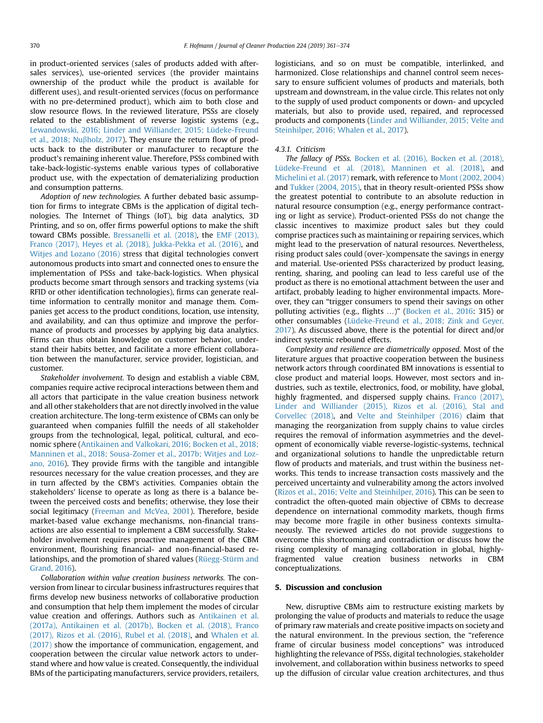<span id="page-9-0"></span>in product-oriented services (sales of products added with aftersales services), use-oriented services (the provider maintains ownership of the product while the product is available for different uses), and result-oriented services (focus on performance with no pre-determined product), which aim to both close and slow resource flows. In the reviewed literature, PSSs are closely related to the establishment of reverse logistic systems (e.g., [Lewandowski, 2016; Linder and Williander, 2015; Lüdeke-Freund](#page-12-0) [et al., 2018; Nu](#page-12-0) $\beta$ holz, 2017). They ensure the return flow of products back to the distributer or manufacturer to recapture the product's remaining inherent value. Therefore, PSSs combined with take-back-logistic-systems enable various types of collaborative product use, with the expectation of dematerializing production and consumption patterns.

Adoption of new technologies. A further debated basic assumption for firms to integrate CBMs is the application of digital technologies. The Internet of Things (IoT), big data analytics, 3D Printing, and so on, offer firms powerful options to make the shift toward CBMs possible. [Bressanelli et al. \(2018\)](#page-11-0), the [EMF \(2013\),](#page-11-0) [Franco \(2017\), Heyes et al. \(2018\), Jukka-Pekka et al. \(2016\),](#page-11-0) and [Witjes and Lozano \(2016\)](#page-13-0) stress that digital technologies convert autonomous products into smart and connected ones to ensure the implementation of PSSs and take-back-logistics. When physical products become smart through sensors and tracking systems (via RFID or other identification technologies), firms can generate realtime information to centrally monitor and manage them. Companies get access to the product conditions, location, use intensity, and availability, and can thus optimize and improve the performance of products and processes by applying big data analytics. Firms can thus obtain knowledge on customer behavior, understand their habits better, and facilitate a more efficient collaboration between the manufacturer, service provider, logistician, and customer.

Stakeholder involvement. To design and establish a viable CBM, companies require active reciprocal interactions between them and all actors that participate in the value creation business network and all other stakeholders that are not directly involved in the value creation architecture. The long-term existence of CBMs can only be guaranteed when companies fulfill the needs of all stakeholder groups from the technological, legal, political, cultural, and economic sphere ([Antikainen and Valkokari, 2016; Bocken et al., 2018;](#page-11-0) [Manninen et al., 2018; Sousa-Zomer et al., 2017b; Witjes and Loz](#page-11-0)[ano, 2016](#page-11-0)). They provide firms with the tangible and intangible resources necessary for the value creation processes, and they are in turn affected by the CBM's activities. Companies obtain the stakeholders' license to operate as long as there is a balance between the perceived costs and benefits; otherwise, they lose their social legitimacy ([Freeman and McVea, 2001\)](#page-11-0). Therefore, beside market-based value exchange mechanisms, non-financial transactions are also essential to implement a CBM successfully. Stakeholder involvement requires proactive management of the CBM environment, flourishing financial- and non-financial-based relationships, and the promotion of shared values ([Rüegg-Stürm and](#page-13-0) [Grand, 2016\)](#page-13-0).

Collaboration within value creation business networks. The conversion from linear to circular business infrastructures requires that firms develop new business networks of collaborative production and consumption that help them implement the modes of circular value creation and offerings. Authors such as [Antikainen et al.](#page-11-0) [\(2017a\), Antikainen et al. \(2017b\), Bocken et al. \(2018\), Franco](#page-11-0) [\(2017\), Rizos et al. \(2016\), Rubel et al. \(2018\),](#page-11-0) and [Whalen et al.](#page-13-0) [\(2017\)](#page-13-0) show the importance of communication, engagement, and cooperation between the circular value network actors to understand where and how value is created. Consequently, the individual BMs of the participating manufacturers, service providers, retailers, logisticians, and so on must be compatible, interlinked, and harmonized. Close relationships and channel control seem necessary to ensure sufficient volumes of products and materials, both upstream and downstream, in the value circle. This relates not only to the supply of used product components or down- and upcycled materials, but also to provide used, repaired, and reprocessed products and components [\(Linder and Williander, 2015; Velte and](#page-12-0) [Steinhilper, 2016; Whalen et al., 2017](#page-12-0)).

#### 4.3.1. Criticism

The fallacy of PSSs. [Bocken et al. \(2016\), Bocken et al. \(2018\),](#page-11-0) [Lüdeke-Freund et al. \(2018\), Manninen et al. \(2018\),](#page-11-0) and [Michelini et al. \(2017\)](#page-12-0) remark, with reference to [Mont \(2002, 2004\)](#page-12-0) and [Tukker \(2004, 2015\),](#page-13-0) that in theory result-oriented PSSs show the greatest potential to contribute to an absolute reduction in natural resource consumption (e.g., energy performance contracting or light as service). Product-oriented PSSs do not change the classic incentives to maximize product sales but they could comprise practices such as maintaining or repairing services, which might lead to the preservation of natural resources. Nevertheless, rising product sales could (over-)compensate the savings in energy and material. Use-oriented PSSs characterized by product leasing, renting, sharing, and pooling can lead to less careful use of the product as there is no emotional attachment between the user and artifact, probably leading to higher environmental impacts. Moreover, they can "trigger consumers to spend their savings on other polluting activities (e.g., flights ...)" ([Bocken et al., 2016:](#page-11-0) 315) or other consumables [\(Lüdeke-Freund et al., 2018; Zink and Geyer,](#page-12-0) [2017\)](#page-12-0). As discussed above, there is the potential for direct and/or indirect systemic rebound effects.

Complexity and resilience are diametrically opposed. Most of the literature argues that proactive cooperation between the business network actors through coordinated BM innovations is essential to close product and material loops. However, most sectors and industries, such as textile, electronics, food, or mobility, have global, highly fragmented, and dispersed supply chains. [Franco \(2017\),](#page-11-0) [Linder and Williander \(2015\), Rizos et al. \(2016\), Stal and](#page-11-0) [Corvellec \(2018\),](#page-11-0) and [Velte and Steinhilper \(2016\)](#page-13-0) claim that managing the reorganization from supply chains to value circles requires the removal of information asymmetries and the development of economically viable reverse-logistic-systems, technical and organizational solutions to handle the unpredictable return flow of products and materials, and trust within the business networks. This tends to increase transaction costs massively and the perceived uncertainty and vulnerability among the actors involved ([Rizos et al., 2016; Velte and Steinhilper, 2016\)](#page-12-0). This can be seen to contradict the often-quoted main objective of CBMs to decrease dependence on international commodity markets, though firms may become more fragile in other business contexts simultaneously. The reviewed articles do not provide suggestions to overcome this shortcoming and contradiction or discuss how the rising complexity of managing collaboration in global, highlyfragmented value creation business networks in CBM conceptualizations.

#### 5. Discussion and conclusion

New, disruptive CBMs aim to restructure existing markets by prolonging the value of products and materials to reduce the usage of primary raw materials and create positive impacts on society and the natural environment. In the previous section, the "reference frame of circular business model conceptions" was introduced highlighting the relevance of PSSs, digital technologies, stakeholder involvement, and collaboration within business networks to speed up the diffusion of circular value creation architectures, and thus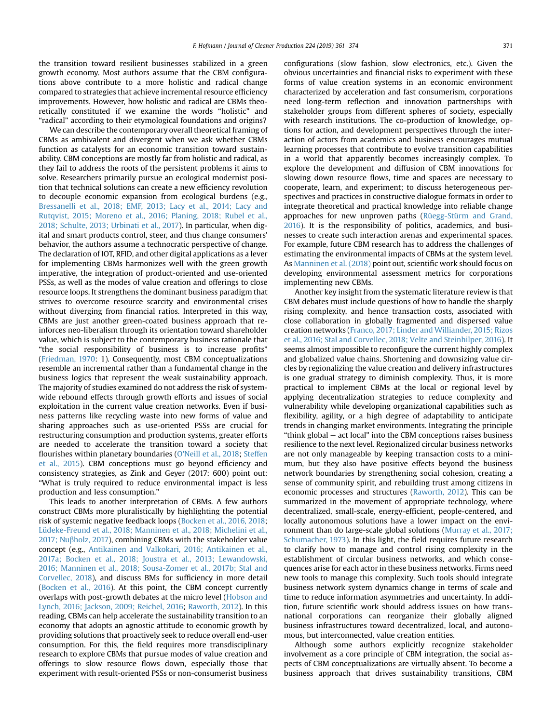the transition toward resilient businesses stabilized in a green growth economy. Most authors assume that the CBM configurations above contribute to a more holistic and radical change compared to strategies that achieve incremental resource efficiency improvements. However, how holistic and radical are CBMs theoretically constituted if we examine the words "holistic" and "radical" according to their etymological foundations and origins?

We can describe the contemporary overall theoretical framing of CBMs as ambivalent and divergent when we ask whether CBMs function as catalysts for an economic transition toward sustainability. CBM conceptions are mostly far from holistic and radical, as they fail to address the roots of the persistent problems it aims to solve. Researchers primarily pursue an ecological modernist position that technical solutions can create a new efficiency revolution to decouple economic expansion from ecological burdens (e.g., [Bressanelli et al., 2018; EMF, 2013; Lacy et al., 2014; Lacy and](#page-11-0) [Rutqvist, 2015; Moreno et al., 2016; Planing, 2018; Rubel et al.,](#page-11-0) [2018; Schulte, 2013; Urbinati et al., 2017](#page-11-0)). In particular, when digital and smart products control, steer, and thus change consumers' behavior, the authors assume a technocratic perspective of change. The declaration of IOT, RFID, and other digital applications as a lever for implementing CBMs harmonizes well with the green growth imperative, the integration of product-oriented and use-oriented PSSs, as well as the modes of value creation and offerings to close resource loops. It strengthens the dominant business paradigm that strives to overcome resource scarcity and environmental crises without diverging from financial ratios. Interpreted in this way, CBMs are just another green-coated business approach that reinforces neo-liberalism through its orientation toward shareholder value, which is subject to the contemporary business rationale that "the social responsibility of business is to increase profits" ([Friedman, 1970](#page-11-0): 1). Consequently, most CBM conceptualizations resemble an incremental rather than a fundamental change in the business logics that represent the weak sustainability approach. The majority of studies examined do not address the risk of systemwide rebound effects through growth efforts and issues of social exploitation in the current value creation networks. Even if business patterns like recycling waste into new forms of value and sharing approaches such as use-oriented PSSs are crucial for restructuring consumption and production systems, greater efforts are needed to accelerate the transition toward a society that flourishes within planetary boundaries [\(O'Neill et al., 2018](#page-12-0); [Steffen](#page-13-0) [et al., 2015\)](#page-13-0). CBM conceptions must go beyond efficiency and consistency strategies, as Zink and Geyer (2017: 600) point out: "What is truly required to reduce environmental impact is less production and less consumption."

This leads to another interpretation of CBMs. A few authors construct CBMs more pluralistically by highlighting the potential risk of systemic negative feedback loops ([Bocken et al., 2016, 2018;](#page-11-0) [Lüdeke-Freund et al., 2018; Manninen et al., 2018; Michelini et al.,](#page-12-0) 2017; Nu $\beta$ [holz, 2017](#page-12-0)), combining CBMs with the stakeholder value concept (e.g., [Antikainen and Valkokari, 2016; Antikainen et al.,](#page-11-0) [2017a; Bocken et al., 2018; Joustra et al., 2013; Lewandowski,](#page-11-0) [2016; Manninen et al., 2018; Sousa-Zomer et al., 2017b; Stal and](#page-11-0) [Corvellec, 2018](#page-11-0)), and discuss BMs for sufficiency in more detail ([Bocken et al., 2016](#page-11-0)). At this point, the CBM concept currently overlaps with post-growth debates at the micro level [\(Hobson and](#page-12-0) [Lynch, 2016; Jackson, 2009; Reichel, 2016;](#page-12-0) [Raworth, 2012\)](#page-12-0). In this reading, CBMs can help accelerate the sustainability transition to an economy that adopts an agnostic attitude to economic growth by providing solutions that proactively seek to reduce overall end-user consumption. For this, the field requires more transdisciplinary research to explore CBMs that pursue modes of value creation and offerings to slow resource flows down, especially those that experiment with result-oriented PSSs or non-consumerist business configurations (slow fashion, slow electronics, etc.). Given the obvious uncertainties and financial risks to experiment with these forms of value creation systems in an economic environment characterized by acceleration and fast consumerism, corporations need long-term reflection and innovation partnerships with stakeholder groups from different spheres of society, especially with research institutions. The co-production of knowledge, options for action, and development perspectives through the interaction of actors from academics and business encourages mutual learning processes that contribute to evolve transition capabilities in a world that apparently becomes increasingly complex. To explore the development and diffusion of CBM innovations for slowing down resource flows, time and spaces are necessary to cooperate, learn, and experiment; to discuss heterogeneous perspectives and practices in constructive dialogue formats in order to integrate theoretical and practical knowledge into reliable change approaches for new unproven paths [\(Rüegg-Stürm and Grand,](#page-13-0) [2016\)](#page-13-0). It is the responsibility of politics, academics, and businesses to create such interaction arenas and experimental spaces. For example, future CBM research has to address the challenges of estimating the environmental impacts of CBMs at the system level. As [Manninen et al. \(2018\)](#page-12-0) point out, scientific work should focus on developing environmental assessment metrics for corporations implementing new CBMs.

Another key insight from the systematic literature review is that CBM debates must include questions of how to handle the sharply rising complexity, and hence transaction costs, associated with close collaboration in globally fragmented and dispersed value creation networks [\(Franco, 2017; Linder and Williander, 2015; Rizos](#page-11-0) [et al., 2016; Stal and Corvellec, 2018; Velte and Steinhilper, 2016](#page-11-0)). It seems almost impossible to reconfigure the current highly complex and globalized value chains. Shortening and downsizing value circles by regionalizing the value creation and delivery infrastructures is one gradual strategy to diminish complexity. Thus, it is more practical to implement CBMs at the local or regional level by applying decentralization strategies to reduce complexity and vulnerability while developing organizational capabilities such as flexibility, agility, or a high degree of adaptability to anticipate trends in changing market environments. Integrating the principle "think global  $-$  act local" into the CBM conceptions raises business resilience to the next level. Regionalized circular business networks are not only manageable by keeping transaction costs to a minimum, but they also have positive effects beyond the business network boundaries by strengthening social cohesion, creating a sense of community spirit, and rebuilding trust among citizens in economic processes and structures [\(Raworth, 2012](#page-12-0)). This can be summarized in the movement of appropriate technology, where decentralized, small-scale, energy-efficient, people-centered, and locally autonomous solutions have a lower impact on the environment than do large-scale global solutions [\(Murray et al., 2017;](#page-12-0) [Schumacher, 1973\)](#page-12-0). In this light, the field requires future research to clarify how to manage and control rising complexity in the establishment of circular business networks, and which consequences arise for each actor in these business networks. Firms need new tools to manage this complexity. Such tools should integrate business network system dynamics change in terms of scale and time to reduce information asymmetries and uncertainty. In addition, future scientific work should address issues on how transnational corporations can reorganize their globally aligned business infrastructures toward decentralized, local, and autonomous, but interconnected, value creation entities.

Although some authors explicitly recognize stakeholder involvement as a core principle of CBM integration, the social aspects of CBM conceptualizations are virtually absent. To become a business approach that drives sustainability transitions, CBM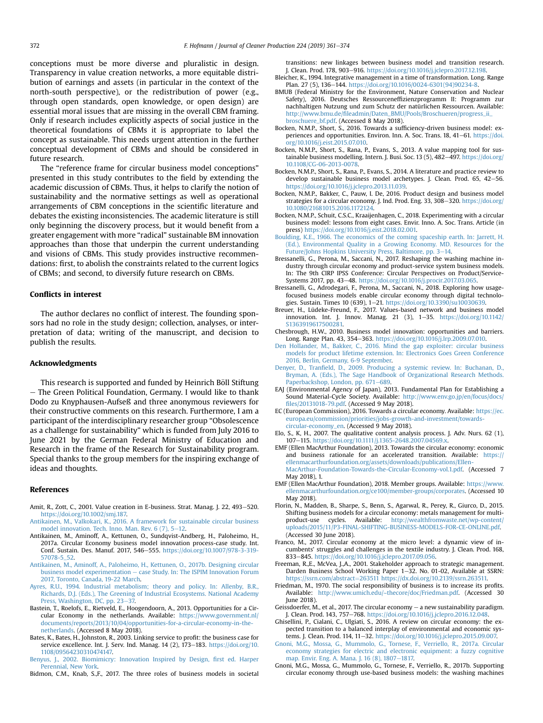<span id="page-11-0"></span>conceptions must be more diverse and pluralistic in design. Transparency in value creation networks, a more equitable distribution of earnings and assets (in particular in the context of the north-south perspective), or the redistribution of power (e.g., through open standards, open knowledge, or open design) are essential moral issues that are missing in the overall CBM framing. Only if research includes explicitly aspects of social justice in the theoretical foundations of CBMs it is appropriate to label the concept as sustainable. This needs urgent attention in the further conceptual development of CBMs and should be considered in future research.

The "reference frame for circular business model conceptions" presented in this study contributes to the field by extending the academic discussion of CBMs. Thus, it helps to clarify the notion of sustainability and the normative settings as well as operational arrangements of CBM conceptions in the scientific literature and debates the existing inconsistencies. The academic literature is still only beginning the discovery process, but it would benefit from a greater engagement with more "radical" sustainable BM innovation approaches than those that underpin the current understanding and visions of CBMs. This study provides instructive recommendations: first, to abolish the constraints related to the current logics of CBMs; and second, to diversify future research on CBMs.

## Conflicts in interest

The author declares no conflict of interest. The founding sponsors had no role in the study design; collection, analyses, or interpretation of data; writing of the manuscript, and decision to publish the results.

## Acknowledgments

This research is supported and funded by Heinrich Böll Stiftung  $-$  The Green Political Foundation, Germany. I would like to thank Dodo zu Knyphausen-Aufseß and three anonymous reviewers for their constructive comments on this research. Furthermore, I am a participant of the interdisciplinary researcher group "Obsolescence as a challenge for sustainability" which is funded from July 2016 to June 2021 by the German Federal Ministry of Education and Research in the frame of the Research for Sustainability program. Special thanks to the group members for the inspiring exchange of ideas and thoughts.

## References

- Amit, R., Zott, C., 2001. Value creation in E-business. Strat. Manag. J. 22, 493-520. [https://doi.org/10.1002/smj.187.](https://doi.org/10.1002/smj.187)
- [Antikainen, M., Valkokari, K., 2016. A framework for sustainable circular business](http://refhub.elsevier.com/S0959-6526(19)30806-6/sref2) model innovation. Tech. Inno. Man. Rev.  $6(7)$ ,  $5-12$  $5-12$ .
- Antikainen, M., Aminoff, A., Kettunen, O., Sundqvist-Andberg, H., Paloheimo, H., 2017a. Circular Economy business model innovation process-case study. Int. Conf. Sustain. Des. Manuf. 2017, 546-555. [https://doi.org/10.1007/978-3-319-](https://doi.org/10.1007/978-3-319-57078-5_52) [57078-5\\_52.](https://doi.org/10.1007/978-3-319-57078-5_52)
- [Antikainen, M., Aminoff, A., Paloheimo, H., Kettunen, O., 2017b. Designing circular](http://refhub.elsevier.com/S0959-6526(19)30806-6/sref4) [business model experimentation](http://refhub.elsevier.com/S0959-6526(19)30806-6/sref4)  $-$  [case Study. In: The ISPIM Innovation Forum](http://refhub.elsevier.com/S0959-6526(19)30806-6/sref4) [2017, Toronto, Canada, 19-22 March.](http://refhub.elsevier.com/S0959-6526(19)30806-6/sref4)
- [Ayres, R.U., 1994. Industrial metabolism; theory and policy. In: Allenby, B.R.,](http://refhub.elsevier.com/S0959-6526(19)30806-6/sref5) [Richards, D.J. \(Eds.\), The Greening of Industrial Ecosystems. National Academy](http://refhub.elsevier.com/S0959-6526(19)30806-6/sref5) [Press, Washington, DC, pp. 23](http://refhub.elsevier.com/S0959-6526(19)30806-6/sref5)-[37.](http://refhub.elsevier.com/S0959-6526(19)30806-6/sref5)
- Bastein, T., Roelofs, E., Rietveld, E., Hoogendoorn, A., 2013. Opportunities for a Circular Economy in the netherlands. Available: [https://www.government.nl/](https://www.government.nl/documents/reports/2013/10/04/opportunities-for-a-circular-economy-in-the-netherlands) [documents/reports/2013/10/04/opportunities-for-a-circular-economy-in-the](https://www.government.nl/documents/reports/2013/10/04/opportunities-for-a-circular-economy-in-the-netherlands)[netherlands.](https://www.government.nl/documents/reports/2013/10/04/opportunities-for-a-circular-economy-in-the-netherlands) (Accessed 8 May 2018).
- Bates, K., Bates, H., Johnston, R., 2003. Linking service to profit: the business case for service excellence. Int. J. Serv. Ind. Manag. 14 (2), 173-183. [https://doi.org/10.](https://doi.org/10.1108/09564230310474147) [1108/09564230310474147.](https://doi.org/10.1108/09564230310474147)

[Benyus, J., 2002. Biomimicry: Innovation Inspired by Design,](http://refhub.elsevier.com/S0959-6526(19)30806-6/sref8) first ed. Harper [Perennial, New York.](http://refhub.elsevier.com/S0959-6526(19)30806-6/sref8)

Bidmon, C.M., Knab, S.,F., 2017. The three roles of business models in societal

transitions: new linkages between business model and transition research. J. Clean. Prod. 178, 903-916. <https://doi.org/10.1016/j.jclepro.2017.12.198>

- Bleicher, K., 1994. Integrative management in a time of transformation. Long. Range Plan. 27 (5), 136-144. [https://doi.org/10.1016/0024-6301\(94\)90234-8](https://doi.org/10.1016/0024-6301(94)90234-8).
- BMUB (Federal Ministry for the Environment, Nature Conservation and Nuclear Safety), 2016. Deutsches Ressourceneffizienzprogramm II: Programm zur nachhaltigen Nutzung und zum Schutz der natürlichen Ressourcen. Available: http://www.bmu.de/fi[leadmin/Daten\\_BMU/Pools/Broschueren/progress\\_ii\\_](http://www.bmu.de/fileadmin/Daten_BMU/Pools/Broschueren/progress_ii_broschuere_bf.pdf) [broschuere\\_bf.pdf](http://www.bmu.de/fileadmin/Daten_BMU/Pools/Broschueren/progress_ii_broschuere_bf.pdf). (Accessed 8 May 2018).
- Bocken, N.M.P., Short, S., 2016. Towards a sufficiency-driven business model: experiences and opportunities. Environ. Inn. A. Soc. Trans. 18, 41-61. [https://doi.](https://doi.org/10.1016/j.eist.2015.07.010) [org/10.1016/j.eist.2015.07.010.](https://doi.org/10.1016/j.eist.2015.07.010)
- Bocken, N.M.P., Short, S., Rana, P., Evans, S., 2013. A value mapping tool for sustainable business modelling. Intern. J. Busi. Soc. 13 (5), 482-497. [https://doi.org/](https://doi.org/10.1108/CG-06-2013-0078) [10.1108/CG-06-2013-0078.](https://doi.org/10.1108/CG-06-2013-0078)
- Bocken, N.M.P., Short, S., Rana, P., Evans, S., 2014. A literature and practice review to develop sustainable business model archetypes. J. Clean. Prod. 65, 42-56. [https://doi.org/10.1016/j.jclepro.2013.11.039.](https://doi.org/10.1016/j.jclepro.2013.11.039)
- Bocken, N.M.P., Bakker, C., Pauw, I. De, 2016. Product design and business model strategies for a circular economy. J. Ind. Prod. Eng. 33, 308-320. [https://doi.org/](https://doi.org/10.1080/21681015.2016.1172124) [10.1080/21681015.2016.1172124](https://doi.org/10.1080/21681015.2016.1172124).
- Bocken, N.M.P., Schuit, C.S.C., Kraaijenhagen, C., 2018. Experimenting with a circular business model: lessons from eight cases. Envir. Inno. A. Soc. Trans. Article (in press) [https://doi.org/10.1016/j.eist.2018.02.001.](https://doi.org/10.1016/j.eist.2018.02.001)
- [Boulding, K.E., 1966. The economics of the coming spaceship earth. In: Jarrett, H.](http://refhub.elsevier.com/S0959-6526(19)30806-6/sref17) [\(Ed.\), Environmental Quality in a Growing Economy. MD. Resources for the](http://refhub.elsevier.com/S0959-6526(19)30806-6/sref17) [Future/Johns Hopkins University Press, Baltimore, pp. 3](http://refhub.elsevier.com/S0959-6526(19)30806-6/sref17)-[14.](http://refhub.elsevier.com/S0959-6526(19)30806-6/sref17)
- Bressanelli, G., Perona, M., Saccani, N., 2017. Reshaping the washing machine industry through circular economy and product-service system business models. In: The 9th CIRP IPSS Conference: Circular Perspectives on Product/ServiceSystems 2017, pp. 43-48. [https://doi.org/10.1016/j.procir.2017.03.065.](https://doi.org/10.1016/j.procir.2017.03.065)
- Bressanelli, G., Adrodegari, F., Perona, M., Saccani, N., 2018. Exploring how usagefocused business models enable circular economy through digital technologies. Sustain. Times 10 (639), 1-21. <https://doi.org/10.3390/su10030639>.
- Breuer, H., Lüdeke-Freund, F., 2017. Values-based network and business model innovation. Int. J. Innov. Manag. 21 (3), 1-35. [https://doi.org/10.1142/](https://doi.org/10.1142/S1363919617500281) [S1363919617500281.](https://doi.org/10.1142/S1363919617500281)
- Chesbrough, H.W., 2010. Business model innovation: opportunities and barriers. Long. Range Plan. 43, 354-363. [https://doi.org/10.1016/j.lrp.2009.07.010.](https://doi.org/10.1016/j.lrp.2009.07.010)
- [Den Hollander, M., Bakker, C., 2016. Mind the gap exploiter: circular business](http://refhub.elsevier.com/S0959-6526(19)30806-6/sref22) [models for product lifetime extension. In: Electronics Goes Green Conference](http://refhub.elsevier.com/S0959-6526(19)30806-6/sref22) [2016, Berlin, Germany, 6-9 September.](http://refhub.elsevier.com/S0959-6526(19)30806-6/sref22)
- Denyer, D., Tranfi[eld, D., 2009. Producing a systemic review. In: Buchanan, D.,](http://refhub.elsevier.com/S0959-6526(19)30806-6/sref23) [Bryman, A. \(Eds.\), The Sage Handbook of Organizational Research Methods.](http://refhub.elsevier.com/S0959-6526(19)30806-6/sref23) [Paperbackshop, London, pp. 671](http://refhub.elsevier.com/S0959-6526(19)30806-6/sref23)-[689](http://refhub.elsevier.com/S0959-6526(19)30806-6/sref23).
- EAJ (Environmental Agency of Japan), 2013. Fundamental Plan for Establishing a Sound Material-Cycle Society. Available: [http://www.env.go.jp/en/focus/docs/](http://www.env.go.jp/en/focus/docs/files/20131018-79.pdf) fi[les/20131018-79.pdf.](http://www.env.go.jp/en/focus/docs/files/20131018-79.pdf) (Accessed 9 May 2018).
- EC (European Commission), 2016. Towards a circular economy. Available: [https://ec.](https://ec.europa.eu/commission/priorities/jobs-growth-and-investment/towards-circular-economy_en) [europa.eu/commission/priorities/jobs-growth-and-investment/towards](https://ec.europa.eu/commission/priorities/jobs-growth-and-investment/towards-circular-economy_en)[circular-economy\\_en](https://ec.europa.eu/commission/priorities/jobs-growth-and-investment/towards-circular-economy_en). (Accessed 9 May 2018).
- Elo, S., K, H., 2007. The qualitative content analysis process. J. Adv. Nurs. 62 (1), 107-115. [https://doi.org/10.1111/j.1365-2648.2007.04569.x.](https://doi.org/10.1111/j.1365-2648.2007.04569.x)
- EMF (Ellen MacArthur Foundation), 2013. Towards the circular economy: economic and business rationale for an accelerated transition. Available: [https://](https://ellenmacarthurfoundation.org/assets/downloads/publications/Ellen-MacArthur-Foundation-Towards-the-Circular-Economy-vol.1.pdf) [ellenmacarthurfoundation.org/assets/downloads/publications/Ellen-](https://ellenmacarthurfoundation.org/assets/downloads/publications/Ellen-MacArthur-Foundation-Towards-the-Circular-Economy-vol.1.pdf)[MacArthur-Foundation-Towards-the-Circular-Economy-vol.1.pdf](https://ellenmacarthurfoundation.org/assets/downloads/publications/Ellen-MacArthur-Foundation-Towards-the-Circular-Economy-vol.1.pdf). (Accessed 7
- May 2018), 1. EMF (Ellen MacArthur Foundation), 2018. Member groups. Available: [https://www.](https://www.ellenmacarthurfoundation.org/ce100/member-groups/corporates) [ellenmacarthurfoundation.org/ce100/member-groups/corporates](https://www.ellenmacarthurfoundation.org/ce100/member-groups/corporates). (Accessed 10 May 2018)
- Florin, N., Madden, B., Sharpe, S., Benn, S., Agarwal, R., Perey, R., Giurco, D., 2015. Shifting business models for a circular economy: metals management for multiproduct-use cycles. Available: [http://wealthfromwaste.net/wp-content/](http://wealthfromwaste.net/wp-content/uploads/2015/11/P3-FINAL-SHIFTING-BUSINESS-MODELS-FOR-CE-ONLINE.pdf) [uploads/2015/11/P3-FINAL-SHIFTING-BUSINESS-MODELS-FOR-CE-ONLINE.pdf](http://wealthfromwaste.net/wp-content/uploads/2015/11/P3-FINAL-SHIFTING-BUSINESS-MODELS-FOR-CE-ONLINE.pdf). (Accessed 30 June 2018).
- Franco, M., 2017. Circular economy at the micro level: a dynamic view of incumbents' struggles and challenges in the textile industry. J. Clean. Prod. 168, 833e845. <https://doi.org/10.1016/j.jclepro.2017.09.056>.
- Freeman, R.,E., McVea, J.,A., 2001. Stakeholder approach to strategic management. Darden Business School Working Paper 1-32. No. 01-02, Available at SSRN: [https://ssrn.com/abstract](https://ssrn.com/abstract=263511)=[263511](https://ssrn.com/abstract=263511) [https://dx.doi.org/10.2139/ssrn.263511.](https://dx.doi.org/10.2139/ssrn.263511)
- Friedman, M., 1970. The social responsibility of business is to increase its profits. Available: [http://www.umich.edu/~thecore/doc/Friedman.pdf.](http://www.umich.edu/%7Ethecore/doc/Friedman.pdf) (Accessed 30 June 2018).
- Geissdoerfer, M., et al., 2017. The circular economy  $-$  a new sustainability paradigm. J. Clean. Prod. 143, 757-768. <https://doi.org/10.1016/j.jclepro.2016.12.048>.
- Ghisellini, P., Cialani, C., Ulgiati, S., 2016. A review on circular economy: the expected transition to a balanced interplay of environmental and economic systems. J. Clean. Prod. 114, 11-32. [https://doi.org/10.1016/j.jclepro.2015.09.007.](https://doi.org/10.1016/j.jclepro.2015.09.007)
- [Gnoni, M.G., Mossa, G., Mummolo, G., Tornese, F., Verriello, R., 2017a. Circular](http://refhub.elsevier.com/S0959-6526(19)30806-6/sref35) [economy strategies for electric and electronic equipment: a fuzzy cognitive](http://refhub.elsevier.com/S0959-6526(19)30806-6/sref35) [map. Envir. Eng. A. Mana. J. 16 \(8\), 1807](http://refhub.elsevier.com/S0959-6526(19)30806-6/sref35)-[1817.](http://refhub.elsevier.com/S0959-6526(19)30806-6/sref35)
- Gnoni, M.G., Mossa, G., Mummolo, G., Tornese, F., Verriello, R., 2017b. Supporting circular economy through use-based business models: the washing machines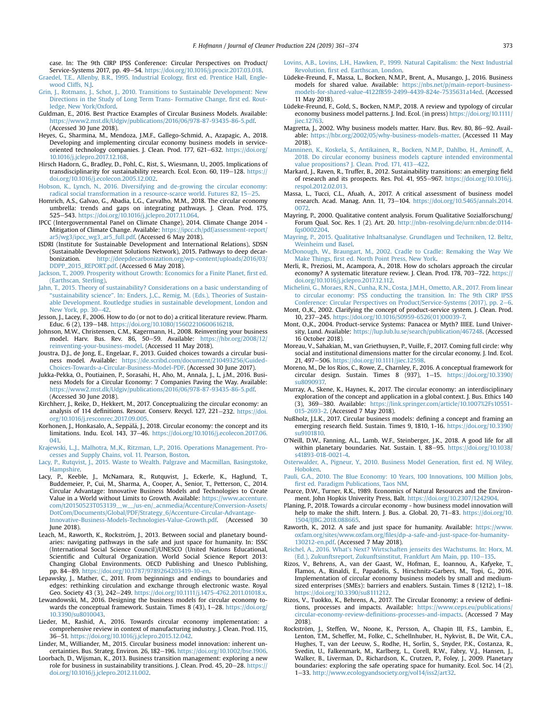<span id="page-12-0"></span>case. In: The 9th CIRP IPSS Conference: Circular Perspectives on Product/ Service-Systems 2017, pp. 49–54. <https://doi.org/10.1016/j.procir.2017.03.018>. [Graedel, T.E., Allenby, B.R., 1995. Industrial Ecology,](http://refhub.elsevier.com/S0959-6526(19)30806-6/sref37) first ed. Prentice Hall, Engle-

- [wood Cliffs, N.J.](http://refhub.elsevier.com/S0959-6526(19)30806-6/sref37) [Grin, J., Rotmans, J., Schot, J., 2010. Transitions to Sustainable Development: New](http://refhub.elsevier.com/S0959-6526(19)30806-6/sref38) [Directions in the Study of Long Term Trans- Formative Change,](http://refhub.elsevier.com/S0959-6526(19)30806-6/sref38) first ed. Rout[ledge, New York/Oxford](http://refhub.elsevier.com/S0959-6526(19)30806-6/sref38).
- Guldman, E., 2016. Best Practice Examples of Circular Business Models. Available: <https://www2.mst.dk/Udgiv/publications/2016/06/978-87-93435-86-5.pdf>. (Accessed 30 June 2018).
- Heyes, G., Sharmina, M., Mendoza, J.M.F., Gallego-Schmid, A., Azapagic, A., 2018. Developing and implementing circular economy business models in serviceoriented technology companies. J. Clean. Prod. 177, 621-632. [https://doi.org/](https://doi.org/10.1016/j.jclepro.2017.12.168) [10.1016/j.jclepro.2017.12.168](https://doi.org/10.1016/j.jclepro.2017.12.168).
- Hirsch Hadorn, G., Bradley, D., Pohl, C., Rist, S., Wiesmann, U., 2005. Implications of transdisciplinarity for sustainability research. Ecol. Econ. 60, 119-128. [https://](https://doi.org/10.1016/j.ecolecon.2005.12.002) [doi.org/10.1016/j.ecolecon.2005.12.002.](https://doi.org/10.1016/j.ecolecon.2005.12.002)
- [Hobson, K., Lynch, N., 2016. Diversifying and de-growing the circular economy:](http://refhub.elsevier.com/S0959-6526(19)30806-6/sref42) [radical social transformation in a resource-scarce world. Futures 82, 15](http://refhub.elsevier.com/S0959-6526(19)30806-6/sref42)–[25.](http://refhub.elsevier.com/S0959-6526(19)30806-6/sref42)
- Homrich, A.S., Galvao, G., Abadia, L.G., Carvalho, M.M., 2018. The circular economy umbrella: trends and gaps on integrating pathways. J. Clean. Prod. 175, 525e543. [https://doi.org/10.1016/j.jclepro.2017.11.064.](https://doi.org/10.1016/j.jclepro.2017.11.064)
- IPCC (Intergovernmental Panel on Climate Change), 2014. Climate Change 2014 Mitigation of Climate Change. Available: [https://ipcc.ch/pdf/assessment-report/](https://ipcc.ch/pdf/assessment-report/ar5/wg3/ipcc_wg3_ar5_full.pdf) [ar5/wg3/ipcc\\_wg3\\_ar5\\_full.pdf](https://ipcc.ch/pdf/assessment-report/ar5/wg3/ipcc_wg3_ar5_full.pdf). (Accessed 6 May 2018).
- ISDRI (Institute for Sustainable Development and International Relations), SDSN (Sustainable Development Solutions Network), 2015. Pathways to deep decarbonization. [http://deepdecarbonization.org/wp-content/uploads/2016/03/](http://deepdecarbonization.org/wp-content/uploads/2016/03/DDPP_2015_REPORT.pdf) [DDPP\\_2015\\_REPORT.pdf.](http://deepdecarbonization.org/wp-content/uploads/2016/03/DDPP_2015_REPORT.pdf) (Accessed 6 May 2018).
- [Jackson, T., 2009. Prosperity without Growth: Economics for a Finite Planet,](http://refhub.elsevier.com/S0959-6526(19)30806-6/sref46) first ed. [\(Earthscan, Sterling\).](http://refhub.elsevier.com/S0959-6526(19)30806-6/sref46)
- [Jahn, T., 2015. Theory of sustainability? Considerations on a basic understanding of](http://refhub.elsevier.com/S0959-6526(19)30806-6/sref47) "sustainability science"[. In: Enders, J.,C., Remig, M. \(Eds.\), Theories of Sustain](http://refhub.elsevier.com/S0959-6526(19)30806-6/sref47)[able Development. Routledge studies in sustainable development, London and](http://refhub.elsevier.com/S0959-6526(19)30806-6/sref47) [New York, pp. 30](http://refhub.elsevier.com/S0959-6526(19)30806-6/sref47)-[42.](http://refhub.elsevier.com/S0959-6526(19)30806-6/sref47)
- Jesson, J., Lacey, F., 2006. How to do (or not to do) a critical literature review. Pharm. Educ. 6 (2), 139-148. [https://doi.org/10.1080/15602210600616218.](https://doi.org/10.1080/15602210600616218)
- Johnson, M.W., Christensen, C.M., Kagermann, H., 2008. Reinventing your business model. Harv. Bus. Rev. 86, 50-59. Available: [https://hbr.org/2008/12/](https://hbr.org/2008/12/reinventing-your-business-model) [reinventing-your-business-model.](https://hbr.org/2008/12/reinventing-your-business-model) (Accessed 11 May 2018).
- Joustra, D.J., de Jong, E., Engelaar, F., 2013. Guided choices towards a circular business model. Available: [https://de.scribd.com/document/210493256/Guided-](https://de.scribd.com/document/210493256/Guided-Choices-Towards-a-Circular-Business-Model-PDF)[Choices-Towards-a-Circular-Business-Model-PDF.](https://de.scribd.com/document/210493256/Guided-Choices-Towards-a-Circular-Business-Model-PDF) (Accessed 30 June 2017).
- Jukka-Pekka, O., Poutiainen, P., Sorasahi, H., Aho, M., Annala, J., L, j.M., 2016. Business Models for a Circular Economy: 7 Companies Paving the Way. Available: <https://www2.mst.dk/Udgiv/publications/2016/06/978-87-93435-86-5.pdf>. (Accessed 30 June 2018).
- Kirchherr, J., Reike, D., Hekkert, M., 2017. Conceptualizing the circular economy: an analysis of 114 definitions. Resour. Conserv. Recycl. 127, 221-232. [https://doi.](https://doi.org/10.1016/j.resconrec.2017.09.005) [org/10.1016/j.resconrec.2017.09.005](https://doi.org/10.1016/j.resconrec.2017.09.005).
- Korhonen, J., Honkasalo, A., Seppälä, J., 2018. Circular economy: the concept and its limitations. Indu. Ecol. 143, 37-46. [https://doi.org/10.1016/j.ecolecon.2017.06.](https://doi.org/10.1016/j.ecolecon.2017.06.041) [041.](https://doi.org/10.1016/j.ecolecon.2017.06.041)
- [Krajewski, L.,J., Malhotra, M.,K., Ritzman, L.,P., 2016. Operations Management. Pro](http://refhub.elsevier.com/S0959-6526(19)30806-6/sref54)[cesses and Supply Chains, vol. 11. Pearson, Boston](http://refhub.elsevier.com/S0959-6526(19)30806-6/sref54).
- [Lacy, P., Rutqvist, J., 2015. Waste to Wealth. Palgrave and Macmillan, Basingstoke,](http://refhub.elsevier.com/S0959-6526(19)30806-6/sref55) [Hampshire.](http://refhub.elsevier.com/S0959-6526(19)30806-6/sref55)
- Lacy, P., Keeble, J., McNamara, R., Rutquvist, J., Eckerle, K., Haglund, T., Buddemeier, P., Cui, M., Sharma, A., Cooper, A., Senior, T., Petterson, C., 2014. Circular Advantage: Innovative Business Models and Technologies to Create Value in a World without Limits to Growth. Available: [https://www.accenture.](https://www.accenture.com/t20150523T053139__w__/us-en/_acnmedia/Accenture/Conversion-Assets/DotCom/Documents/Global/PDF/Strategy_6/Accenture-Circular-Advantage-Innovative-Business-Models-Technologies-Value-Growth.pdf) [com/t20150523T053139\\_\\_w\\_\\_/us-en/\\_acnmedia/Accenture/Conversion-Assets/](https://www.accenture.com/t20150523T053139__w__/us-en/_acnmedia/Accenture/Conversion-Assets/DotCom/Documents/Global/PDF/Strategy_6/Accenture-Circular-Advantage-Innovative-Business-Models-Technologies-Value-Growth.pdf) [DotCom/Documents/Global/PDF/Strategy\\_6/Accenture-Circular-Advantage-](https://www.accenture.com/t20150523T053139__w__/us-en/_acnmedia/Accenture/Conversion-Assets/DotCom/Documents/Global/PDF/Strategy_6/Accenture-Circular-Advantage-Innovative-Business-Models-Technologies-Value-Growth.pdf)[Innovative-Business-Models-Technologies-Value-Growth.pdf.](https://www.accenture.com/t20150523T053139__w__/us-en/_acnmedia/Accenture/Conversion-Assets/DotCom/Documents/Global/PDF/Strategy_6/Accenture-Circular-Advantage-Innovative-Business-Models-Technologies-Value-Growth.pdf) (Accessed 30 June 2018).
- Leach, M., Raworth, K., Rockström, J., 2013. Between social and planetary boundaries: navigating pathways in the safe and just space for humanity. In: ISSC (International Social Science Council)/UNESCO (United Nations Educational, Scientific and Cultural Organization. World Social Science Report 2013: Changing Global Environments. OECD Publishing and Unesco Publishing, pp. 84-89. [https://doi.org/10.1787/9789264203419-10-en.](https://doi.org/10.1787/9789264203419-10-en)
- Lepawsky, J., Mather, C., 2011. From beginnings and endings to boundaries and edges: rethinking circulation and exchange through electronic waste. Royal Geo. Society 43 (3), 242-249. <https://doi.org/10.1111/j.1475-4762.2011.01018.x>.
- Lewandowski, M., 2016. Designing the business models for circular economy towards the conceptual framework. Sustain. Times 8 (43),  $1-28$ . [https://doi.org/](https://doi.org/10.3390/su8010043) [10.3390/su8010043.](https://doi.org/10.3390/su8010043)
- Lieder, M., Rashid, A., 2016. Towards circular economy implementation: a comprehensive review in context of manufacturing industry. J. Clean. Prod. 115, 36e51. [https://doi.org/10.1016/j.jclepro.2015.12.042.](https://doi.org/10.1016/j.jclepro.2015.12.042)
- Linder, M., Williander, M., 2015. Circular business model innovation: inherent uncertainties. Bus. Strateg. Environ. 26, 182-196. <https://doi.org/10.1002/bse.1906>.
- Loorbach, D., Wijsman, K., 2013. Business transition management: exploring a new role for business in sustainability transitions. J. Clean. Prod. 45, 20-28. [https://](https://doi.org/10.1016/j.jclepro.2012.11.002) [doi.org/10.1016/j.jclepro.2012.11.002.](https://doi.org/10.1016/j.jclepro.2012.11.002)
- [Lovins, A.B., Lovins, L.H., Hawken, P., 1999. Natural Capitalism: the Next Industrial](http://refhub.elsevier.com/S0959-6526(19)30806-6/sref62) Revolution, fi[rst ed. Earthscan, London](http://refhub.elsevier.com/S0959-6526(19)30806-6/sref62).
- Lüdeke-Freund, F., Massa, L., Bocken, N.M.P., Brent, A., Musango, J., 2016. Business models for shared value. Available: [https://nbs.net/p/main-report-business](https://nbs.net/p/main-report-business-models-for-shared-value-4122f859-2499-4439-824e-7535631a14ed)[models-for-shared-value-4122f859-2499-4439-824e-7535631a14ed](https://nbs.net/p/main-report-business-models-for-shared-value-4122f859-2499-4439-824e-7535631a14ed). (Accessed 11 May 2018).
- Lüdeke-Freund, F., Gold, S., Bocken, N.M.P., 2018. A review and typology of circular economy business model patterns. J. Ind. Ecol. (in press) [https://doi.org/10.1111/](https://doi.org/10.1111/jiec.12763) ijec. 12763.
- Magretta, J., 2002. Why business models matter. Harv. Bus. Rev. 80, 86-92. Available: [https://hbr.org/2002/05/why-business-models-matter.](https://hbr.org/2002/05/why-business-models-matter) (Accessed 11 May 2018).
- [Manninen, K., Koskela, S., Antikainen, R., Bocken, N.M.P., Dahlbo, H., Aminoff, A.,](http://refhub.elsevier.com/S0959-6526(19)30806-6/sref66) [2018. Do circular economy business models capture intended environmental](http://refhub.elsevier.com/S0959-6526(19)30806-6/sref66) value propositions? J. Clean. Prod.  $171$ ,  $413-422$  $413-422$ .
- Markard, I., Raven, R., Truffer, B., 2012. Sustainability transitions: an emerging field of research and its prospects. Res. Pol. 41, 955-967. [https://doi.org/10.1016/j.](https://doi.org/10.1016/j.respol.2012.02.013) [respol.2012.02.013.](https://doi.org/10.1016/j.respol.2012.02.013)
- Massa, L., Tucci, C.L., Afuah, A., 2017. A critical assessment of business model research. Acad. Manag. Ann. 11, 73-104. [https://doi.org/10.5465/annals.2014.](https://doi.org/10.5465/annals.2014.0072) [0072.](https://doi.org/10.5465/annals.2014.0072)
- Mayring, P., 2000. Qualitative content analysis. Forum Qualitative Sozialforschung/ Forum Qual. Soc. Res. 1 (2). Art. 20. [http://nbn-resolving.de/urn:nbn:de:0114](http://nbn-resolving.de/urn:nbn:de:0114-fqs0002204)  $f$  $(0.002204)$
- [Mayring, P., 2015. Qualitative Inhaltsanalyse. Grundlagen und Techniken, 12. Beltz,](http://refhub.elsevier.com/S0959-6526(19)30806-6/sref71) [Weinheim und Basel.](http://refhub.elsevier.com/S0959-6526(19)30806-6/sref71)
- [McDonough, W., Braungart, M., 2002. Cradle to Cradle: Remaking the Way We](http://refhub.elsevier.com/S0959-6526(19)30806-6/sref72) Make Things, fi[rst ed. North Point Press, New York](http://refhub.elsevier.com/S0959-6526(19)30806-6/sref72).
- Merli, R., Preziosi, M., Acampora, A., 2018. How do scholars approach the circular economy? A systematic literature review. J. Clean. Prod. 178, 703-722. [https://](https://doi.org/10.1016/j.jclepro.2017.12.112) [doi.org/10.1016/j.jclepro.2017.12.112.](https://doi.org/10.1016/j.jclepro.2017.12.112)
- [Michelini, G., Moraes, R.N., Cunha, R.N., Costa, J.M.H., Ometto, A.R., 2017. From linear](http://refhub.elsevier.com/S0959-6526(19)30806-6/sref74) [to circular economy: PSS conducting the transition. In: The 9th CIRP IPSS](http://refhub.elsevier.com/S0959-6526(19)30806-6/sref74) [Conference: Circular Perspectives on Product/Service-Systems \(2017\), pp. 2](http://refhub.elsevier.com/S0959-6526(19)30806-6/sref74)–[6](http://refhub.elsevier.com/S0959-6526(19)30806-6/sref74).
- Mont, O.,K., 2002. Clarifying the concept of product-service system. J. Clean. Prod. 10, 237-245. [https://doi.org/10.1016/S0959-6526\(01\)00039-7.](https://doi.org/10.1016/S0959-6526(01)00039-7)
- Mont, O.,K., 2004. Product-service Systems: Panacea or Myth? IIIEE. Lund University, Lund. Available: [https://lup.lub.lu.se/search/publication/467248.](https://lup.lub.lu.se/search/publication/467248) (Accessed 16 October 2018).
- Moreau, V., Sahakian, M., van Griethuysen, P., Vuille, F., 2017. Coming full circle: why social and institutional dimensions matter for the circular economy. J. Ind. Ecol. 21, 497-506. <https://doi.org/10.1111/jiec.12598>
- Moreno, M., De los Rios, C., Rowe, Z., Charnley, F., 2016. A conceptual framework for circular design. Sustain. Times 8 (937),  $1-15$ . [https://doi.org/10.3390/](https://doi.org/10.3390/su8090937) [su8090937.](https://doi.org/10.3390/su8090937)
- Murray, A., Skene, K., Haynes, K., 2017. The circular economy: an interdisciplinary exploration of the concept and application in a global context. J. Bus. Ethics 140 (3), 369-380. Available: [https://link.springer.com/article/10.1007%2Fs10551-](https://link.springer.com/article/10.1007%2Fs10551-015-2693-2) [015-2693-2.](https://link.springer.com/article/10.1007%2Fs10551-015-2693-2) (Accessed 7 May 2018).
- Nußholz, J.L.K., 2017. Circular business models: defining a concept and framing an emerging research field. Sustain. Times 9, 1810, 1-16. [https://doi.org/10.3390/](https://doi.org/10.3390/su9101810) [su9101810](https://doi.org/10.3390/su9101810).
- O'Neill, D.W., Fanning, A.L., Lamb, W.F., Steinberger, J.K., 2018. A good life for all within planetary boundaries. Nat. Sustain. 1, 88-95. [https://doi.org/10.1038/](https://doi.org/10.1038/s41893-018-0021-4) [s41893-018-0021-4](https://doi.org/10.1038/s41893-018-0021-4).
- [Osterwalder, A., Pigneur, Y., 2010. Business Model Generation,](http://refhub.elsevier.com/S0959-6526(19)30806-6/sref82) first ed. NJ Wiley, [Hoboken.](http://refhub.elsevier.com/S0959-6526(19)30806-6/sref82)
- [Pauli, G.A., 2010. The Blue Economy: 10 Years, 100 Innovations, 100 Million Jobs,](http://refhub.elsevier.com/S0959-6526(19)30806-6/sref83) fi[rst ed. Paradigm Publications, Taos NM.](http://refhub.elsevier.com/S0959-6526(19)30806-6/sref83)
- Pearce, D.W., Turner, R.K., 1989. Economics of Natural Resources and the Environment. John Hopkis Univerity Press, Balt. [https://doi.org/10.2307/1242904.](https://doi.org/10.2307/1242904)
- Planing, P., 2018. Towards a circular economy how business model innovation will help to make the shift. Intern. J. Bus. a. Global. 20, 71-83. [https://doi.org/10.](https://doi.org/10.1504/IJBG.2018.088665) [1504/IJBG.2018.088665.](https://doi.org/10.1504/IJBG.2018.088665)
- Raworth, K., 2012. A safe and just space for humanity. Available: [https://www.](https://www.oxfam.org/sites/www.oxfam.org/files/dp-a-safe-and-just-space-for-humanity-130212-en.pdf) oxfam.org/sites/www.oxfam.org/fi[les/dp-a-safe-and-just-space-for-humanity-](https://www.oxfam.org/sites/www.oxfam.org/files/dp-a-safe-and-just-space-for-humanity-130212-en.pdf)[130212-en.pdf.](https://www.oxfam.org/sites/www.oxfam.org/files/dp-a-safe-and-just-space-for-humanity-130212-en.pdf) (Accessed 7 May 2018).
- [Reichel, A., 2016. What's Next? Wirtschaften jenseits des Wachstums. In: Horx, M.](http://refhub.elsevier.com/S0959-6526(19)30806-6/sref87) [\(Ed.\), Zukunftsreport, Zukunftsinstitut, Frankfurt Am Main, pp. 110](http://refhub.elsevier.com/S0959-6526(19)30806-6/sref87)-[135](http://refhub.elsevier.com/S0959-6526(19)30806-6/sref87).
- Rizos, V., Behrens, A., van der Gaast, W., Hofman, E., Ioannou, A., Kafyeke, T., Flamos, A., Rinaldi, E., Papadelis, S., Hirschnitz-Garbers, M., Topi, G., 2016. Implementation of circular economy business models by small and mediumsized enterprises (SMEs): barriers and enablers. Sustain. Times 8 (1212),  $1-18$ . [https://doi.org/10.3390/su8111212.](https://doi.org/10.3390/su8111212)
- Rizos, V., Tuokko, K., Behrens, A., 2017. The Circular Economy: a review of definitions, processes and impacts. Available: [https://www.ceps.eu/publications/](https://www.ceps.eu/publications/circular-economy-review-definitions-processes-and-impacts) circular-economy-review-defi[nitions-processes-and-impacts](https://www.ceps.eu/publications/circular-economy-review-definitions-processes-and-impacts). (Accessed 7 May 2018).
- Rockström, J., Steffen, W., Noone, K., Persson, A., Chapin III, F.S., Lambin, E.<br>Lenton, T.M., Scheffer, M., Folke, C., Schellnhuber, H., Nykvist, B., De Wit, C.A. Hughes, T., van der Leeuw, S., Rodhe, H., Sorlin, S., Snyder, P.K., Costanza, R., Svedin, U., Falkenmark, M., Karlberg, L., Corell, R.W., Fabry, V.J., Hansen, J., Walker, B., Liverman, D., Richardson, K., Crutzen, P., Foley, J., 2009. Planetary boundaries: exploring the safe operating space for humanity. Ecol. Soc. 14 (2), 1-33. <http://www.ecologyandsociety.org/vol14/iss2/art32>.